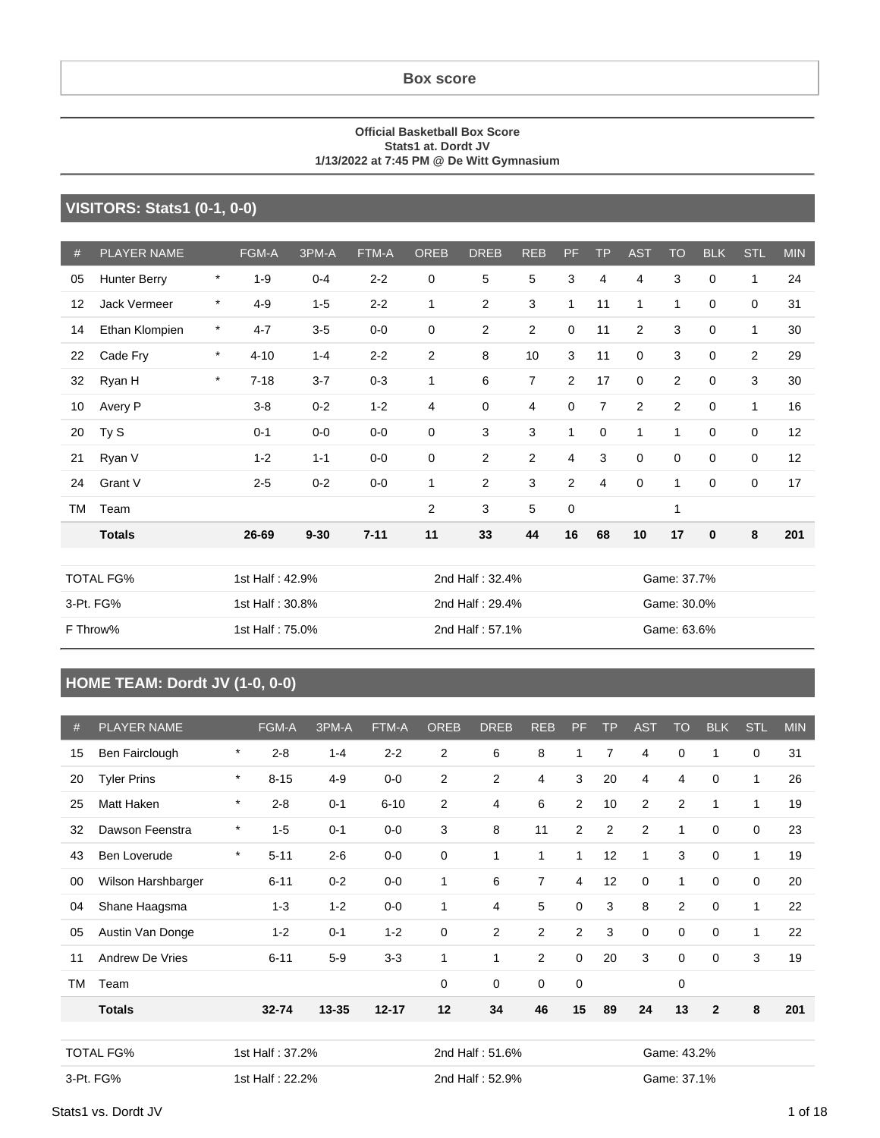#### **Box score**

#### **Official Basketball Box Score Stats1 at. Dordt JV 1/13/2022 at 7:45 PM @ De Witt Gymnasium**

#### **VISITORS: Stats1 (0-1, 0-0)**

| #         | <b>PLAYER NAME</b>  |         | FGM-A           | 3PM-A           | FTM-A    | <b>OREB</b>  | <b>DREB</b>     | <b>REB</b>     | PF             | <b>TP</b>      | <b>AST</b>     | <b>TO</b>      | <b>BLK</b>  | <b>STL</b>     | <b>MIN</b> |
|-----------|---------------------|---------|-----------------|-----------------|----------|--------------|-----------------|----------------|----------------|----------------|----------------|----------------|-------------|----------------|------------|
| 05        | <b>Hunter Berry</b> | $\star$ | $1 - 9$         | $0 - 4$         | $2 - 2$  | $\mathbf 0$  | 5               | 5              | 3              | $\overline{4}$ | 4              | 3              | $\mathbf 0$ | 1              | 24         |
| 12        | Jack Vermeer        | $\ast$  | $4 - 9$         | $1 - 5$         | $2 - 2$  | $\mathbf{1}$ | $\overline{2}$  | 3              | 1              | 11             | $\mathbf{1}$   | $\mathbf{1}$   | $\mathbf 0$ | $\mathbf 0$    | 31         |
| 14        | Ethan Klompien      | $\star$ | $4 - 7$         | $3-5$           | $0-0$    | $\mathbf 0$  | 2               | 2              | 0              | 11             | 2              | 3              | $\mathbf 0$ | $\mathbf{1}$   | 30         |
| 22        | Cade Fry            | $\star$ | $4 - 10$        | $1 - 4$         | $2 - 2$  | 2            | 8               | 10             | 3              | 11             | 0              | 3              | $\mathbf 0$ | $\overline{2}$ | 29         |
| 32        | Ryan H              | $\star$ | $7 - 18$        | $3 - 7$         | $0 - 3$  | $\mathbf{1}$ | 6               | $\overline{7}$ | $\overline{2}$ | 17             | $\mathbf 0$    | $\overline{2}$ | $\mathbf 0$ | 3              | 30         |
| 10        | Avery P             |         | $3 - 8$         | $0 - 2$         | $1 - 2$  | 4            | 0               | $\overline{4}$ | $\mathbf 0$    | $\overline{7}$ | $\overline{2}$ | 2              | $\mathbf 0$ | $\mathbf{1}$   | 16         |
| 20        | Ty S                |         | $0 - 1$         | $0-0$           | $0-0$    | $\mathbf 0$  | 3               | 3              | 1              | $\mathbf 0$    | 1              | 1              | 0           | 0              | 12         |
| 21        | Ryan V              |         | $1 - 2$         | $1 - 1$         | $0-0$    | $\mathbf 0$  | $\overline{2}$  | 2              | $\overline{4}$ | 3              | $\mathbf 0$    | $\mathbf 0$    | $\mathbf 0$ | $\mathbf 0$    | 12         |
| 24        | Grant V             |         | $2 - 5$         | $0 - 2$         | $0-0$    | 1            | 2               | 3              | 2              | $\overline{4}$ | $\mathbf 0$    | $\mathbf{1}$   | $\mathbf 0$ | $\mathbf 0$    | 17         |
| <b>TM</b> | Team                |         |                 |                 |          | 2            | 3               | 5              | 0              |                |                | $\mathbf{1}$   |             |                |            |
|           | <b>Totals</b>       |         | 26-69           | $9 - 30$        | $7 - 11$ | 11           | 33              | 44             | 16             | 68             | 10             | 17             | $\bf{0}$    | 8              | 201        |
|           |                     |         |                 |                 |          |              |                 |                |                |                |                |                |             |                |            |
|           | <b>TOTAL FG%</b>    |         | 1st Half: 42.9% |                 |          |              | 2nd Half: 32.4% |                |                | Game: 37.7%    |                |                |             |                |            |
|           | 3-Pt. FG%           |         | 1st Half: 30.8% |                 |          |              | 2nd Half: 29.4% |                |                |                | Game: 30.0%    |                |             |                |            |
|           | F Throw%            |         |                 | 1st Half: 75.0% |          |              | 2nd Half: 57.1% |                |                |                | Game: 63.6%    |                |             |                |            |

### **HOME TEAM: Dordt JV (1-0, 0-0)**

| #         | <b>PLAYER NAME</b> |         | FGM-A           | 3PM-A     | FTM-A     | <b>OREB</b>    | <b>DREB</b>     | <b>REB</b>     | <b>PF</b>      | <b>TP</b>      | <b>AST</b>     | <b>TO</b>      | <b>BLK</b>   | <b>STL</b> | <b>MIN</b> |
|-----------|--------------------|---------|-----------------|-----------|-----------|----------------|-----------------|----------------|----------------|----------------|----------------|----------------|--------------|------------|------------|
| 15        | Ben Fairclough     | $\star$ | $2 - 8$         | $1 - 4$   | $2 - 2$   | 2              | 6               | 8              | 1              | $\overline{7}$ | 4              | 0              | 1            | 0          | 31         |
| 20        | <b>Tyler Prins</b> | $\star$ | $8 - 15$        | $4 - 9$   | $0-0$     | 2              | 2               | $\overline{4}$ | 3              | 20             | 4              | $\overline{4}$ | 0            | 1          | 26         |
| 25        | Matt Haken         | $\star$ | $2 - 8$         | $0 - 1$   | $6 - 10$  | $\overline{2}$ | 4               | 6              | 2              | 10             | $\overline{a}$ | $\mathbf{2}$   | 1            | 1          | 19         |
| 32        | Dawson Feenstra    | $\star$ | $1 - 5$         | $0 - 1$   | $0-0$     | 3              | 8               | 11             | 2              | $\overline{2}$ | $\overline{2}$ | 1              | $\mathbf 0$  | 0          | 23         |
| 43        | Ben Loverude       | $\star$ | $5 - 11$        | $2 - 6$   | $0-0$     | 0              | 1               | $\mathbf{1}$   | $\mathbf{1}$   | 12             | 1              | 3              | $\mathbf 0$  | 1          | 19         |
| 00        | Wilson Harshbarger |         | $6 - 11$        | $0 - 2$   | $0-0$     | 1              | 6               | $\overline{7}$ | 4              | 12             | 0              | 1              | $\mathbf 0$  | 0          | 20         |
| 04        | Shane Haagsma      |         | $1 - 3$         | $1 - 2$   | $0-0$     | 1              | 4               | 5              | $\mathbf 0$    | 3              | 8              | $\overline{2}$ | $\mathbf 0$  | 1          | 22         |
| 05        | Austin Van Donge   |         | $1 - 2$         | $0 - 1$   | $1 - 2$   | $\mathbf 0$    | $\overline{2}$  | 2              | $\overline{c}$ | 3              | 0              | 0              | $\Omega$     | 1          | 22         |
| 11        | Andrew De Vries    |         | $6 - 11$        | $5-9$     | $3 - 3$   | 1              | $\mathbf{1}$    | $\overline{2}$ | $\mathbf 0$    | 20             | 3              | 0              | $\mathbf 0$  | 3          | 19         |
| <b>TM</b> | Team               |         |                 |           |           | $\mathbf 0$    | 0               | $\mathbf 0$    | $\mathbf 0$    |                |                | $\mathbf 0$    |              |            |            |
|           | <b>Totals</b>      |         | $32 - 74$       | $13 - 35$ | $12 - 17$ | 12             | 34              | 46             | 15             | 89             | 24             | 13             | $\mathbf{2}$ | 8          | 201        |
|           |                    |         |                 |           |           |                |                 |                |                |                |                |                |              |            |            |
|           | <b>TOTAL FG%</b>   |         | 1st Half: 37.2% |           |           |                | 2nd Half: 51.6% |                |                |                |                | Game: 43.2%    |              |            |            |
|           | 3-Pt. FG%          |         | 1st Half: 22.2% |           |           |                | 2nd Half: 52.9% |                |                |                |                | Game: 37.1%    |              |            |            |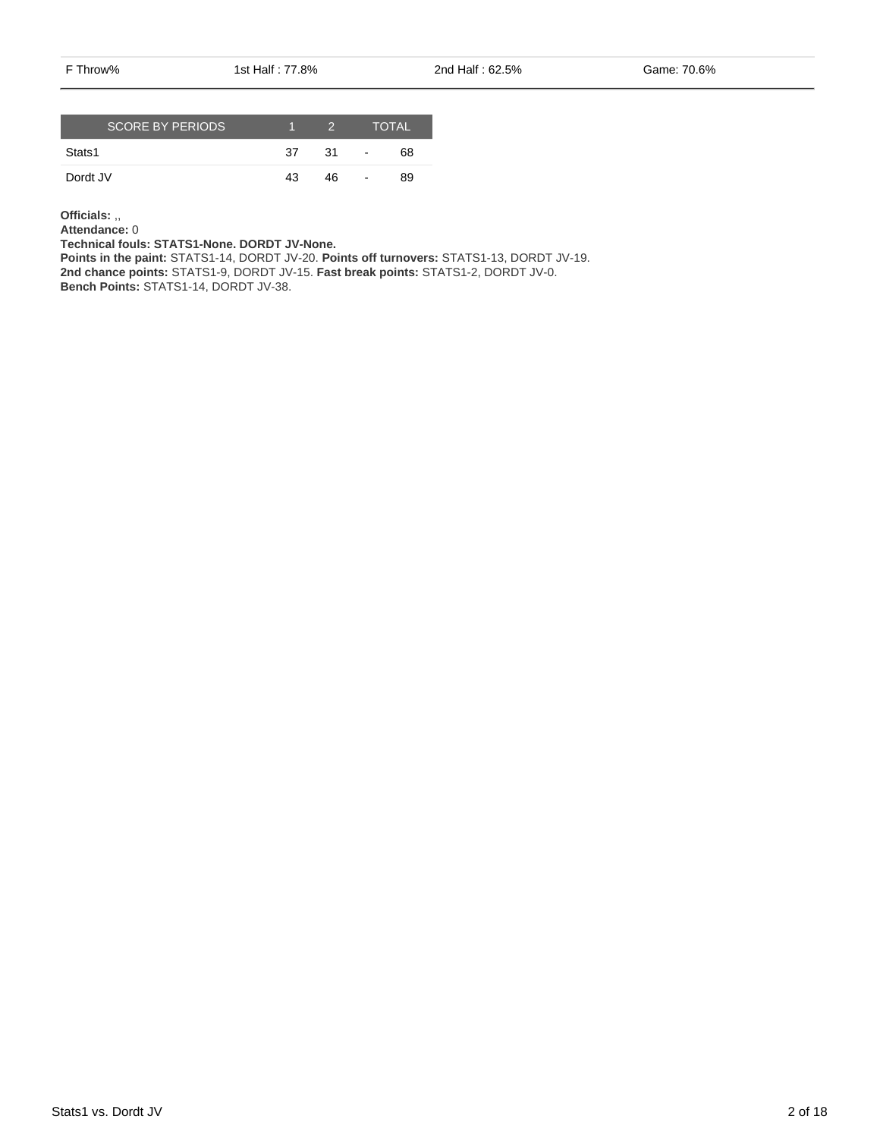F Throw% 1st Half : 77.8% 2nd Half : 62.5% Game: 70.6%

| <b>SCORE BY PERIODS</b> |    | - 2 - |                          | <b>TOTAL</b> |
|-------------------------|----|-------|--------------------------|--------------|
| Stats1                  | 37 | .31   | $\overline{\phantom{a}}$ | 68           |
| Dordt JV                | 43 | 46    | -                        | 89           |

**Officials:** ,,

**Attendance:** 0

**Technical fouls: STATS1-None. DORDT JV-None.**

**Points in the paint:** STATS1-14, DORDT JV-20. **Points off turnovers:** STATS1-13, DORDT JV-19. **2nd chance points:** STATS1-9, DORDT JV-15. **Fast break points:** STATS1-2, DORDT JV-0. **Bench Points:** STATS1-14, DORDT JV-38.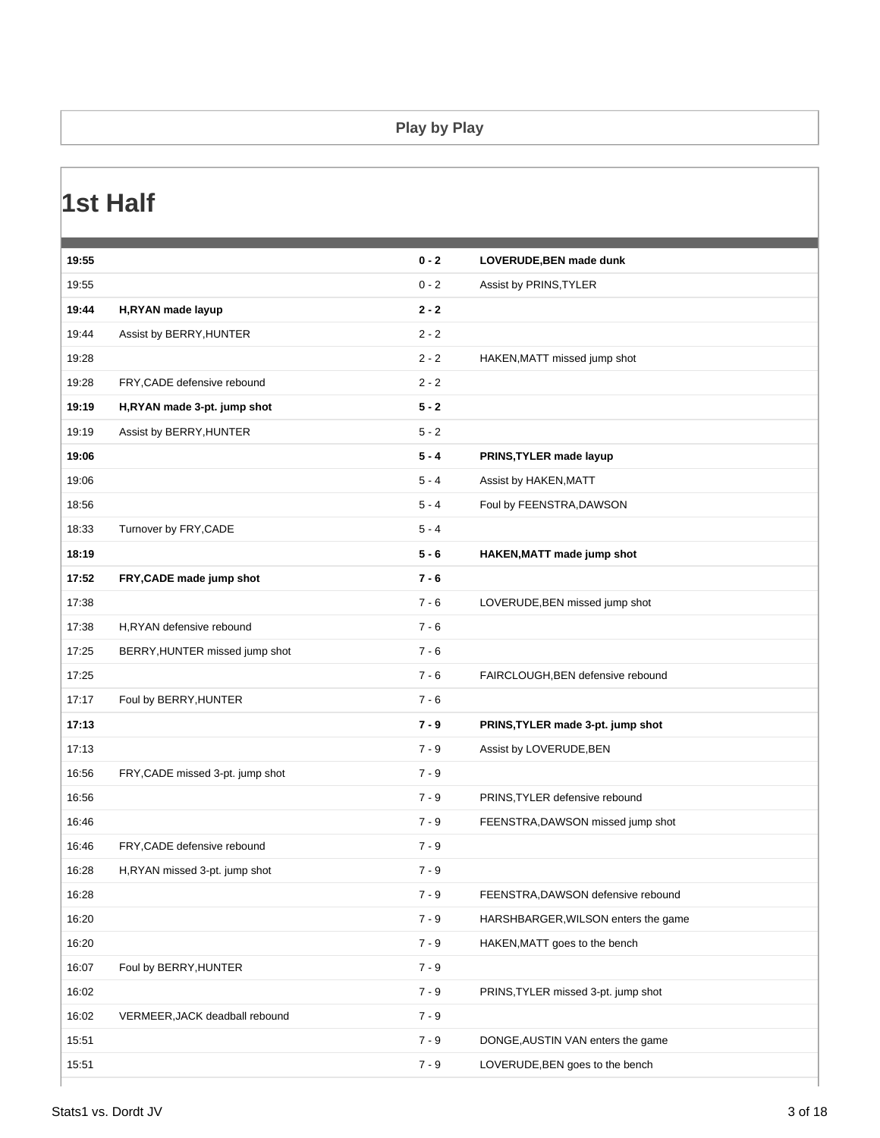#### **Play by Play**

### **1st Half**

| 19:55<br>$0 - 2$<br>Assist by PRINS, TYLER<br>19:44<br>$2 - 2$<br>H,RYAN made layup<br>19:44<br>$2 - 2$<br>Assist by BERRY, HUNTER<br>19:28<br>$2 - 2$<br>HAKEN, MATT missed jump shot<br>$2 - 2$<br>19:28<br>FRY, CADE defensive rebound<br>$5 - 2$<br>19:19<br>H,RYAN made 3-pt. jump shot<br>19:19<br>$5 - 2$<br>Assist by BERRY, HUNTER<br>19:06<br>$5 - 4$<br>PRINS, TYLER made layup<br>19:06<br>$5 - 4$<br>Assist by HAKEN, MATT<br>18:56<br>Foul by FEENSTRA, DAWSON<br>$5 - 4$<br>18:33<br>Turnover by FRY, CADE<br>$5 - 4$<br>18:19<br>$5 - 6$<br>HAKEN, MATT made jump shot<br>17:52<br>$7 - 6$<br>FRY, CADE made jump shot<br>17:38<br>$7 - 6$<br>LOVERUDE, BEN missed jump shot<br>17:38<br>$7 - 6$<br>H,RYAN defensive rebound<br>17:25<br>$7 - 6$<br>BERRY, HUNTER missed jump shot<br>17:25<br>$7 - 6$<br>FAIRCLOUGH, BEN defensive rebound<br>17:17<br>$7 - 6$<br>Foul by BERRY, HUNTER<br>17:13<br>$7 - 9$<br>PRINS, TYLER made 3-pt. jump shot<br>17:13<br>$7 - 9$<br>Assist by LOVERUDE, BEN<br>16:56<br>$7 - 9$<br>FRY, CADE missed 3-pt. jump shot<br>16:56<br>$7 - 9$<br>PRINS, TYLER defensive rebound<br>16:46<br>$7 - 9$<br>FEENSTRA, DAWSON missed jump shot<br>$7 - 9$<br>16:46<br>FRY, CADE defensive rebound<br>16:28<br>$7 - 9$<br>H,RYAN missed 3-pt. jump shot<br>$7 - 9$<br>16:28<br>FEENSTRA, DAWSON defensive rebound<br>16:20<br>$7 - 9$<br>HARSHBARGER, WILSON enters the game<br>16:20<br>$7 - 9$<br>HAKEN, MATT goes to the bench<br>16:07<br>Foul by BERRY, HUNTER<br>$7 - 9$<br>16:02<br>$7 - 9$<br>PRINS, TYLER missed 3-pt. jump shot<br>16:02<br>$7 - 9$<br>VERMEER, JACK deadball rebound<br>15:51<br>$7 - 9$<br>DONGE, AUSTIN VAN enters the game<br>15:51<br>$7 - 9$<br>LOVERUDE, BEN goes to the bench | 19:55 | $0 - 2$ | LOVERUDE, BEN made dunk |
|---------------------------------------------------------------------------------------------------------------------------------------------------------------------------------------------------------------------------------------------------------------------------------------------------------------------------------------------------------------------------------------------------------------------------------------------------------------------------------------------------------------------------------------------------------------------------------------------------------------------------------------------------------------------------------------------------------------------------------------------------------------------------------------------------------------------------------------------------------------------------------------------------------------------------------------------------------------------------------------------------------------------------------------------------------------------------------------------------------------------------------------------------------------------------------------------------------------------------------------------------------------------------------------------------------------------------------------------------------------------------------------------------------------------------------------------------------------------------------------------------------------------------------------------------------------------------------------------------------------------------------------------------------------------------------------------------------------------------------------------------------|-------|---------|-------------------------|
|                                                                                                                                                                                                                                                                                                                                                                                                                                                                                                                                                                                                                                                                                                                                                                                                                                                                                                                                                                                                                                                                                                                                                                                                                                                                                                                                                                                                                                                                                                                                                                                                                                                                                                                                                         |       |         |                         |
|                                                                                                                                                                                                                                                                                                                                                                                                                                                                                                                                                                                                                                                                                                                                                                                                                                                                                                                                                                                                                                                                                                                                                                                                                                                                                                                                                                                                                                                                                                                                                                                                                                                                                                                                                         |       |         |                         |
|                                                                                                                                                                                                                                                                                                                                                                                                                                                                                                                                                                                                                                                                                                                                                                                                                                                                                                                                                                                                                                                                                                                                                                                                                                                                                                                                                                                                                                                                                                                                                                                                                                                                                                                                                         |       |         |                         |
|                                                                                                                                                                                                                                                                                                                                                                                                                                                                                                                                                                                                                                                                                                                                                                                                                                                                                                                                                                                                                                                                                                                                                                                                                                                                                                                                                                                                                                                                                                                                                                                                                                                                                                                                                         |       |         |                         |
|                                                                                                                                                                                                                                                                                                                                                                                                                                                                                                                                                                                                                                                                                                                                                                                                                                                                                                                                                                                                                                                                                                                                                                                                                                                                                                                                                                                                                                                                                                                                                                                                                                                                                                                                                         |       |         |                         |
|                                                                                                                                                                                                                                                                                                                                                                                                                                                                                                                                                                                                                                                                                                                                                                                                                                                                                                                                                                                                                                                                                                                                                                                                                                                                                                                                                                                                                                                                                                                                                                                                                                                                                                                                                         |       |         |                         |
|                                                                                                                                                                                                                                                                                                                                                                                                                                                                                                                                                                                                                                                                                                                                                                                                                                                                                                                                                                                                                                                                                                                                                                                                                                                                                                                                                                                                                                                                                                                                                                                                                                                                                                                                                         |       |         |                         |
|                                                                                                                                                                                                                                                                                                                                                                                                                                                                                                                                                                                                                                                                                                                                                                                                                                                                                                                                                                                                                                                                                                                                                                                                                                                                                                                                                                                                                                                                                                                                                                                                                                                                                                                                                         |       |         |                         |
|                                                                                                                                                                                                                                                                                                                                                                                                                                                                                                                                                                                                                                                                                                                                                                                                                                                                                                                                                                                                                                                                                                                                                                                                                                                                                                                                                                                                                                                                                                                                                                                                                                                                                                                                                         |       |         |                         |
|                                                                                                                                                                                                                                                                                                                                                                                                                                                                                                                                                                                                                                                                                                                                                                                                                                                                                                                                                                                                                                                                                                                                                                                                                                                                                                                                                                                                                                                                                                                                                                                                                                                                                                                                                         |       |         |                         |
|                                                                                                                                                                                                                                                                                                                                                                                                                                                                                                                                                                                                                                                                                                                                                                                                                                                                                                                                                                                                                                                                                                                                                                                                                                                                                                                                                                                                                                                                                                                                                                                                                                                                                                                                                         |       |         |                         |
|                                                                                                                                                                                                                                                                                                                                                                                                                                                                                                                                                                                                                                                                                                                                                                                                                                                                                                                                                                                                                                                                                                                                                                                                                                                                                                                                                                                                                                                                                                                                                                                                                                                                                                                                                         |       |         |                         |
|                                                                                                                                                                                                                                                                                                                                                                                                                                                                                                                                                                                                                                                                                                                                                                                                                                                                                                                                                                                                                                                                                                                                                                                                                                                                                                                                                                                                                                                                                                                                                                                                                                                                                                                                                         |       |         |                         |
|                                                                                                                                                                                                                                                                                                                                                                                                                                                                                                                                                                                                                                                                                                                                                                                                                                                                                                                                                                                                                                                                                                                                                                                                                                                                                                                                                                                                                                                                                                                                                                                                                                                                                                                                                         |       |         |                         |
|                                                                                                                                                                                                                                                                                                                                                                                                                                                                                                                                                                                                                                                                                                                                                                                                                                                                                                                                                                                                                                                                                                                                                                                                                                                                                                                                                                                                                                                                                                                                                                                                                                                                                                                                                         |       |         |                         |
|                                                                                                                                                                                                                                                                                                                                                                                                                                                                                                                                                                                                                                                                                                                                                                                                                                                                                                                                                                                                                                                                                                                                                                                                                                                                                                                                                                                                                                                                                                                                                                                                                                                                                                                                                         |       |         |                         |
|                                                                                                                                                                                                                                                                                                                                                                                                                                                                                                                                                                                                                                                                                                                                                                                                                                                                                                                                                                                                                                                                                                                                                                                                                                                                                                                                                                                                                                                                                                                                                                                                                                                                                                                                                         |       |         |                         |
|                                                                                                                                                                                                                                                                                                                                                                                                                                                                                                                                                                                                                                                                                                                                                                                                                                                                                                                                                                                                                                                                                                                                                                                                                                                                                                                                                                                                                                                                                                                                                                                                                                                                                                                                                         |       |         |                         |
|                                                                                                                                                                                                                                                                                                                                                                                                                                                                                                                                                                                                                                                                                                                                                                                                                                                                                                                                                                                                                                                                                                                                                                                                                                                                                                                                                                                                                                                                                                                                                                                                                                                                                                                                                         |       |         |                         |
|                                                                                                                                                                                                                                                                                                                                                                                                                                                                                                                                                                                                                                                                                                                                                                                                                                                                                                                                                                                                                                                                                                                                                                                                                                                                                                                                                                                                                                                                                                                                                                                                                                                                                                                                                         |       |         |                         |
|                                                                                                                                                                                                                                                                                                                                                                                                                                                                                                                                                                                                                                                                                                                                                                                                                                                                                                                                                                                                                                                                                                                                                                                                                                                                                                                                                                                                                                                                                                                                                                                                                                                                                                                                                         |       |         |                         |
|                                                                                                                                                                                                                                                                                                                                                                                                                                                                                                                                                                                                                                                                                                                                                                                                                                                                                                                                                                                                                                                                                                                                                                                                                                                                                                                                                                                                                                                                                                                                                                                                                                                                                                                                                         |       |         |                         |
|                                                                                                                                                                                                                                                                                                                                                                                                                                                                                                                                                                                                                                                                                                                                                                                                                                                                                                                                                                                                                                                                                                                                                                                                                                                                                                                                                                                                                                                                                                                                                                                                                                                                                                                                                         |       |         |                         |
|                                                                                                                                                                                                                                                                                                                                                                                                                                                                                                                                                                                                                                                                                                                                                                                                                                                                                                                                                                                                                                                                                                                                                                                                                                                                                                                                                                                                                                                                                                                                                                                                                                                                                                                                                         |       |         |                         |
|                                                                                                                                                                                                                                                                                                                                                                                                                                                                                                                                                                                                                                                                                                                                                                                                                                                                                                                                                                                                                                                                                                                                                                                                                                                                                                                                                                                                                                                                                                                                                                                                                                                                                                                                                         |       |         |                         |
|                                                                                                                                                                                                                                                                                                                                                                                                                                                                                                                                                                                                                                                                                                                                                                                                                                                                                                                                                                                                                                                                                                                                                                                                                                                                                                                                                                                                                                                                                                                                                                                                                                                                                                                                                         |       |         |                         |
|                                                                                                                                                                                                                                                                                                                                                                                                                                                                                                                                                                                                                                                                                                                                                                                                                                                                                                                                                                                                                                                                                                                                                                                                                                                                                                                                                                                                                                                                                                                                                                                                                                                                                                                                                         |       |         |                         |
|                                                                                                                                                                                                                                                                                                                                                                                                                                                                                                                                                                                                                                                                                                                                                                                                                                                                                                                                                                                                                                                                                                                                                                                                                                                                                                                                                                                                                                                                                                                                                                                                                                                                                                                                                         |       |         |                         |
|                                                                                                                                                                                                                                                                                                                                                                                                                                                                                                                                                                                                                                                                                                                                                                                                                                                                                                                                                                                                                                                                                                                                                                                                                                                                                                                                                                                                                                                                                                                                                                                                                                                                                                                                                         |       |         |                         |
|                                                                                                                                                                                                                                                                                                                                                                                                                                                                                                                                                                                                                                                                                                                                                                                                                                                                                                                                                                                                                                                                                                                                                                                                                                                                                                                                                                                                                                                                                                                                                                                                                                                                                                                                                         |       |         |                         |
|                                                                                                                                                                                                                                                                                                                                                                                                                                                                                                                                                                                                                                                                                                                                                                                                                                                                                                                                                                                                                                                                                                                                                                                                                                                                                                                                                                                                                                                                                                                                                                                                                                                                                                                                                         |       |         |                         |
|                                                                                                                                                                                                                                                                                                                                                                                                                                                                                                                                                                                                                                                                                                                                                                                                                                                                                                                                                                                                                                                                                                                                                                                                                                                                                                                                                                                                                                                                                                                                                                                                                                                                                                                                                         |       |         |                         |
|                                                                                                                                                                                                                                                                                                                                                                                                                                                                                                                                                                                                                                                                                                                                                                                                                                                                                                                                                                                                                                                                                                                                                                                                                                                                                                                                                                                                                                                                                                                                                                                                                                                                                                                                                         |       |         |                         |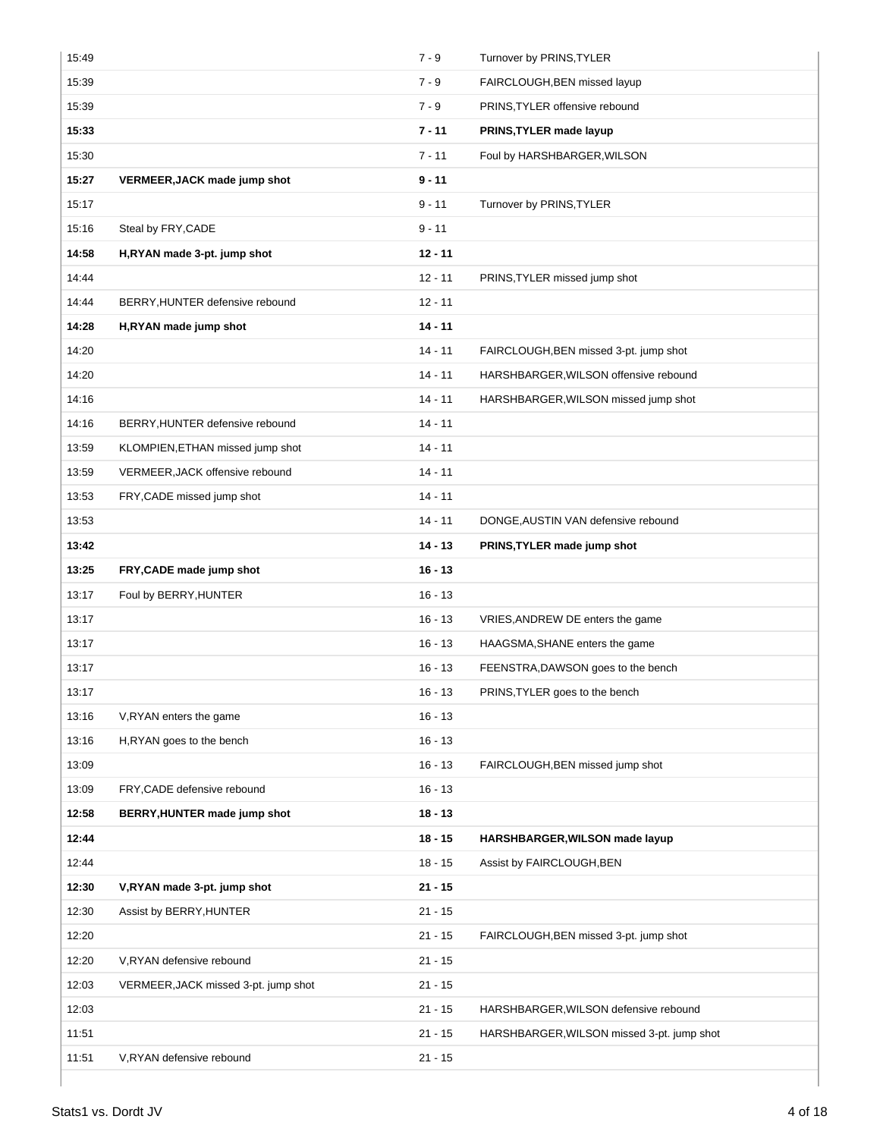| 15:49 |                                      | $7 - 9$   | Turnover by PRINS, TYLER                   |
|-------|--------------------------------------|-----------|--------------------------------------------|
| 15:39 |                                      | $7 - 9$   | FAIRCLOUGH, BEN missed layup               |
| 15:39 |                                      | $7 - 9$   | PRINS, TYLER offensive rebound             |
| 15:33 |                                      | $7 - 11$  | PRINS, TYLER made layup                    |
| 15:30 |                                      | $7 - 11$  | Foul by HARSHBARGER, WILSON                |
| 15:27 | VERMEER, JACK made jump shot         | $9 - 11$  |                                            |
| 15:17 |                                      | $9 - 11$  | Turnover by PRINS, TYLER                   |
| 15:16 | Steal by FRY, CADE                   | $9 - 11$  |                                            |
| 14:58 | H,RYAN made 3-pt. jump shot          | $12 - 11$ |                                            |
| 14:44 |                                      | $12 - 11$ | PRINS, TYLER missed jump shot              |
| 14:44 | BERRY, HUNTER defensive rebound      | $12 - 11$ |                                            |
| 14:28 | H,RYAN made jump shot                | $14 - 11$ |                                            |
| 14:20 |                                      | $14 - 11$ | FAIRCLOUGH, BEN missed 3-pt. jump shot     |
| 14:20 |                                      | $14 - 11$ | HARSHBARGER, WILSON offensive rebound      |
| 14:16 |                                      | $14 - 11$ | HARSHBARGER, WILSON missed jump shot       |
| 14:16 | BERRY, HUNTER defensive rebound      | $14 - 11$ |                                            |
| 13:59 | KLOMPIEN, ETHAN missed jump shot     | $14 - 11$ |                                            |
| 13:59 | VERMEER, JACK offensive rebound      | $14 - 11$ |                                            |
| 13:53 | FRY, CADE missed jump shot           | $14 - 11$ |                                            |
| 13:53 |                                      | $14 - 11$ | DONGE, AUSTIN VAN defensive rebound        |
| 13:42 |                                      | $14 - 13$ | PRINS, TYLER made jump shot                |
| 13:25 | FRY, CADE made jump shot             | $16 - 13$ |                                            |
| 13:17 | Foul by BERRY, HUNTER                | $16 - 13$ |                                            |
| 13:17 |                                      | $16 - 13$ | VRIES, ANDREW DE enters the game           |
| 13:17 |                                      | $16 - 13$ | HAAGSMA, SHANE enters the game             |
| 13:17 |                                      | $16 - 13$ | FEENSTRA, DAWSON goes to the bench         |
| 13:17 |                                      | $16 - 13$ | PRINS, TYLER goes to the bench             |
| 13:16 | V, RYAN enters the game              | $16 - 13$ |                                            |
| 13:16 | H,RYAN goes to the bench             | $16 - 13$ |                                            |
| 13:09 |                                      | $16 - 13$ | FAIRCLOUGH, BEN missed jump shot           |
| 13:09 | FRY, CADE defensive rebound          | $16 - 13$ |                                            |
| 12:58 | BERRY, HUNTER made jump shot         | $18 - 13$ |                                            |
| 12:44 |                                      | $18 - 15$ | HARSHBARGER, WILSON made layup             |
| 12:44 |                                      | $18 - 15$ | Assist by FAIRCLOUGH, BEN                  |
| 12:30 | V,RYAN made 3-pt. jump shot          | $21 - 15$ |                                            |
| 12:30 | Assist by BERRY, HUNTER              | $21 - 15$ |                                            |
| 12:20 |                                      | $21 - 15$ | FAIRCLOUGH, BEN missed 3-pt. jump shot     |
| 12:20 | V, RYAN defensive rebound            | $21 - 15$ |                                            |
| 12:03 | VERMEER, JACK missed 3-pt. jump shot | $21 - 15$ |                                            |
| 12:03 |                                      | $21 - 15$ | HARSHBARGER, WILSON defensive rebound      |
| 11:51 |                                      | $21 - 15$ | HARSHBARGER, WILSON missed 3-pt. jump shot |
| 11:51 | V, RYAN defensive rebound            | $21 - 15$ |                                            |
|       |                                      |           |                                            |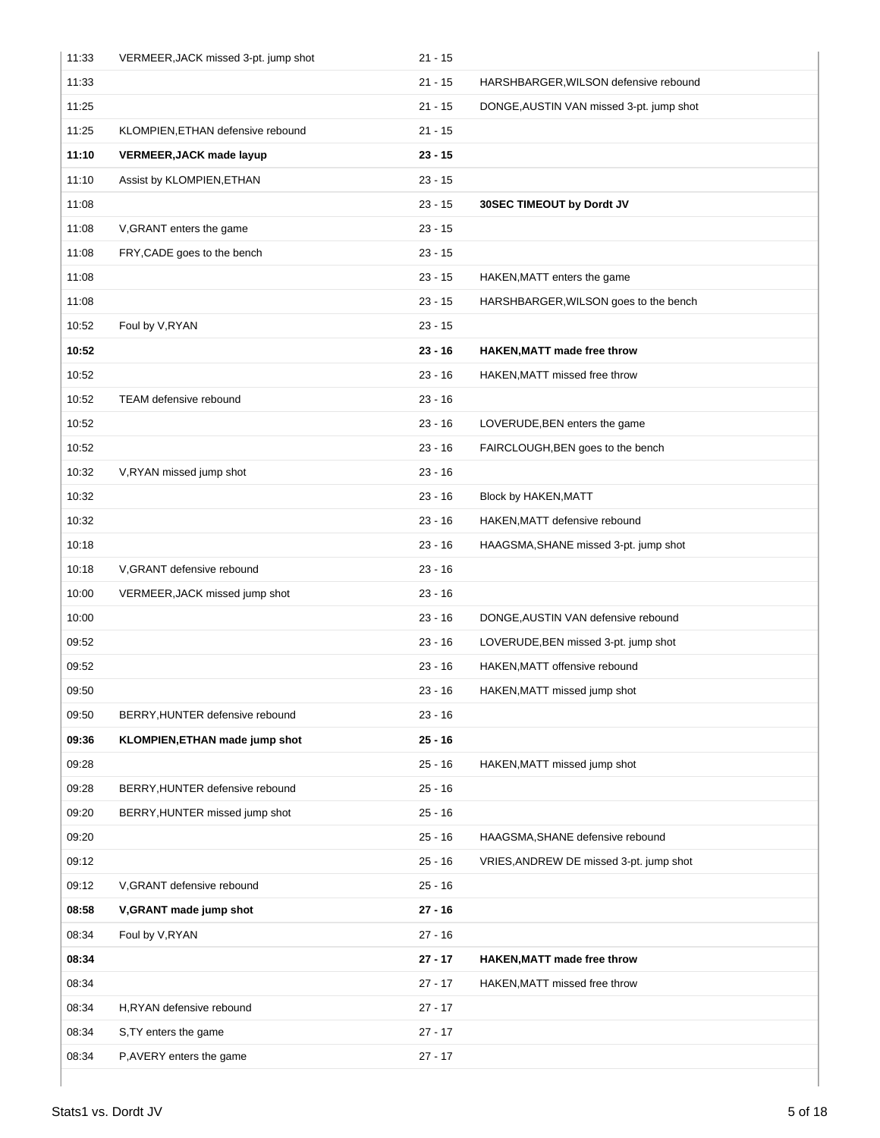| 11:33 | VERMEER, JACK missed 3-pt. jump shot | $21 - 15$ |                                          |
|-------|--------------------------------------|-----------|------------------------------------------|
| 11:33 |                                      | $21 - 15$ | HARSHBARGER, WILSON defensive rebound    |
| 11:25 |                                      | $21 - 15$ | DONGE, AUSTIN VAN missed 3-pt. jump shot |
| 11:25 | KLOMPIEN, ETHAN defensive rebound    | $21 - 15$ |                                          |
| 11:10 | <b>VERMEER, JACK made layup</b>      | $23 - 15$ |                                          |
| 11:10 | Assist by KLOMPIEN, ETHAN            | $23 - 15$ |                                          |
| 11:08 |                                      | $23 - 15$ | 30SEC TIMEOUT by Dordt JV                |
| 11:08 | V, GRANT enters the game             | $23 - 15$ |                                          |
| 11:08 | FRY, CADE goes to the bench          | $23 - 15$ |                                          |
| 11:08 |                                      | $23 - 15$ | HAKEN, MATT enters the game              |
| 11:08 |                                      | $23 - 15$ | HARSHBARGER, WILSON goes to the bench    |
| 10:52 | Foul by V, RYAN                      | $23 - 15$ |                                          |
| 10:52 |                                      | $23 - 16$ | <b>HAKEN, MATT made free throw</b>       |
| 10:52 |                                      | $23 - 16$ | HAKEN, MATT missed free throw            |
| 10:52 | TEAM defensive rebound               | $23 - 16$ |                                          |
| 10:52 |                                      | $23 - 16$ | LOVERUDE, BEN enters the game            |
| 10:52 |                                      | $23 - 16$ | FAIRCLOUGH, BEN goes to the bench        |
| 10:32 | V, RYAN missed jump shot             | $23 - 16$ |                                          |
| 10:32 |                                      | $23 - 16$ | Block by HAKEN, MATT                     |
| 10:32 |                                      | $23 - 16$ | HAKEN, MATT defensive rebound            |
| 10:18 |                                      | $23 - 16$ | HAAGSMA, SHANE missed 3-pt. jump shot    |
| 10:18 | V, GRANT defensive rebound           | $23 - 16$ |                                          |
| 10:00 | VERMEER, JACK missed jump shot       | $23 - 16$ |                                          |
| 10:00 |                                      | $23 - 16$ | DONGE, AUSTIN VAN defensive rebound      |
| 09:52 |                                      | $23 - 16$ | LOVERUDE, BEN missed 3-pt. jump shot     |
| 09:52 |                                      | $23 - 16$ | HAKEN, MATT offensive rebound            |
| 09:50 |                                      | $23 - 16$ | HAKEN, MATT missed jump shot             |
| 09:50 | BERRY, HUNTER defensive rebound      | $23 - 16$ |                                          |
| 09:36 | KLOMPIEN, ETHAN made jump shot       | $25 - 16$ |                                          |
| 09:28 |                                      | $25 - 16$ | HAKEN, MATT missed jump shot             |
| 09:28 | BERRY, HUNTER defensive rebound      | $25 - 16$ |                                          |
| 09:20 | BERRY, HUNTER missed jump shot       | $25 - 16$ |                                          |
| 09:20 |                                      | $25 - 16$ | HAAGSMA, SHANE defensive rebound         |
| 09:12 |                                      | $25 - 16$ | VRIES, ANDREW DE missed 3-pt. jump shot  |
| 09:12 | V, GRANT defensive rebound           | $25 - 16$ |                                          |
| 08:58 | V, GRANT made jump shot              | $27 - 16$ |                                          |
| 08:34 | Foul by V, RYAN                      | $27 - 16$ |                                          |
| 08:34 |                                      | $27 - 17$ | <b>HAKEN, MATT made free throw</b>       |
| 08:34 |                                      | $27 - 17$ | HAKEN, MATT missed free throw            |
| 08:34 | H,RYAN defensive rebound             | $27 - 17$ |                                          |
| 08:34 | S, TY enters the game                | $27 - 17$ |                                          |
| 08:34 | P, AVERY enters the game             | $27 - 17$ |                                          |
|       |                                      |           |                                          |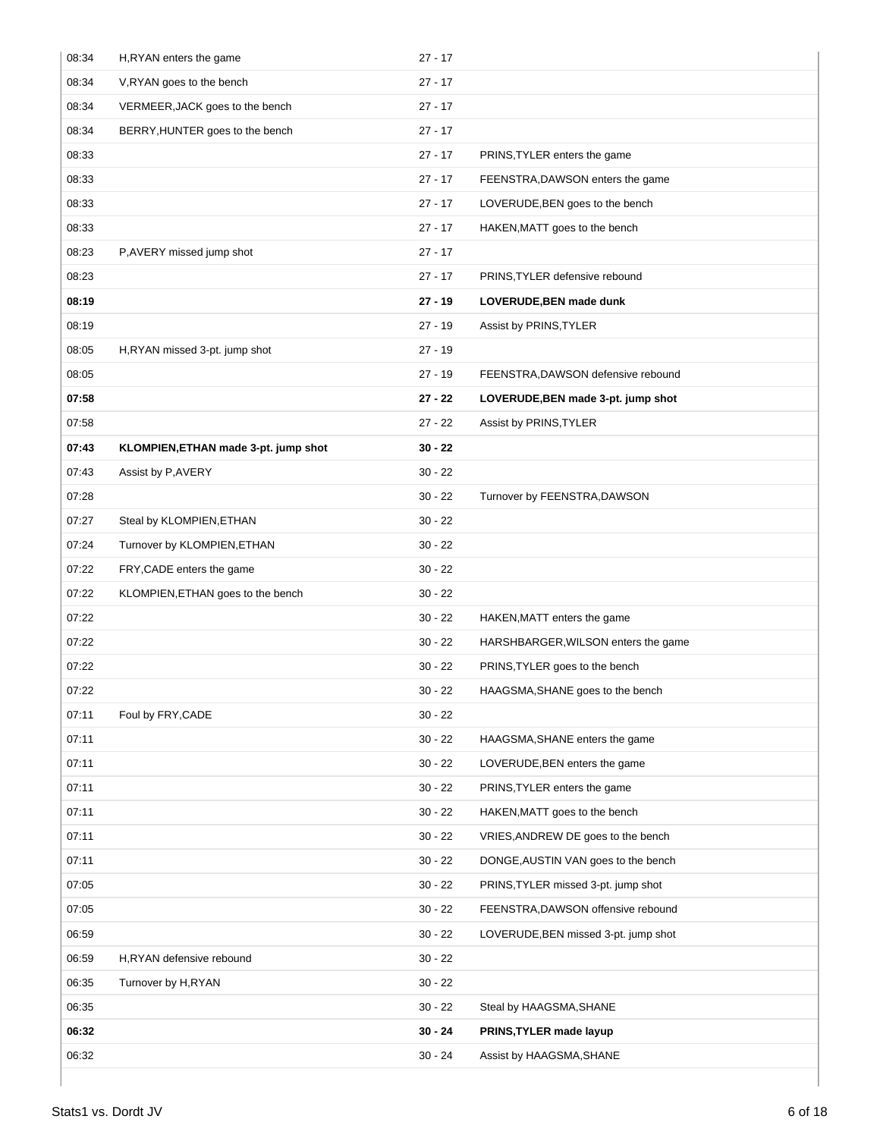| 08:34 | H, RYAN enters the game              | $27 - 17$ |                                      |
|-------|--------------------------------------|-----------|--------------------------------------|
| 08:34 | V, RYAN goes to the bench            | $27 - 17$ |                                      |
| 08:34 | VERMEER, JACK goes to the bench      | $27 - 17$ |                                      |
| 08:34 | BERRY, HUNTER goes to the bench      | $27 - 17$ |                                      |
| 08:33 |                                      | $27 - 17$ | PRINS, TYLER enters the game         |
| 08:33 |                                      | $27 - 17$ | FEENSTRA, DAWSON enters the game     |
| 08:33 |                                      | $27 - 17$ | LOVERUDE, BEN goes to the bench      |
| 08:33 |                                      | $27 - 17$ | HAKEN, MATT goes to the bench        |
| 08:23 | P, AVERY missed jump shot            | $27 - 17$ |                                      |
| 08:23 |                                      | $27 - 17$ | PRINS, TYLER defensive rebound       |
| 08:19 |                                      | $27 - 19$ | LOVERUDE, BEN made dunk              |
| 08:19 |                                      | $27 - 19$ | Assist by PRINS, TYLER               |
| 08:05 | H,RYAN missed 3-pt. jump shot        | $27 - 19$ |                                      |
| 08:05 |                                      | $27 - 19$ | FEENSTRA, DAWSON defensive rebound   |
| 07:58 |                                      | $27 - 22$ | LOVERUDE, BEN made 3-pt. jump shot   |
| 07:58 |                                      | $27 - 22$ | Assist by PRINS, TYLER               |
| 07:43 | KLOMPIEN, ETHAN made 3-pt. jump shot | $30 - 22$ |                                      |
| 07:43 | Assist by P, AVERY                   | $30 - 22$ |                                      |
| 07:28 |                                      | $30 - 22$ | Turnover by FEENSTRA, DAWSON         |
| 07:27 | Steal by KLOMPIEN, ETHAN             | $30 - 22$ |                                      |
| 07:24 | Turnover by KLOMPIEN, ETHAN          | $30 - 22$ |                                      |
| 07:22 | FRY, CADE enters the game            | $30 - 22$ |                                      |
| 07:22 | KLOMPIEN, ETHAN goes to the bench    | $30 - 22$ |                                      |
| 07:22 |                                      | $30 - 22$ | HAKEN, MATT enters the game          |
| 07:22 |                                      | $30 - 22$ | HARSHBARGER, WILSON enters the game  |
| 07:22 |                                      | $30 - 22$ | PRINS, TYLER goes to the bench       |
| 07:22 |                                      | $30 - 22$ | HAAGSMA, SHANE goes to the bench     |
| 07:11 | Foul by FRY, CADE                    | $30 - 22$ |                                      |
| 07:11 |                                      | $30 - 22$ | HAAGSMA, SHANE enters the game       |
| 07:11 |                                      | $30 - 22$ | LOVERUDE, BEN enters the game        |
| 07:11 |                                      | $30 - 22$ | PRINS, TYLER enters the game         |
| 07:11 |                                      | $30 - 22$ | HAKEN, MATT goes to the bench        |
| 07:11 |                                      | $30 - 22$ | VRIES, ANDREW DE goes to the bench   |
| 07:11 |                                      | $30 - 22$ | DONGE, AUSTIN VAN goes to the bench  |
| 07:05 |                                      | $30 - 22$ | PRINS, TYLER missed 3-pt. jump shot  |
| 07:05 |                                      | $30 - 22$ | FEENSTRA, DAWSON offensive rebound   |
| 06:59 |                                      | $30 - 22$ | LOVERUDE, BEN missed 3-pt. jump shot |
| 06:59 | H,RYAN defensive rebound             | $30 - 22$ |                                      |
| 06:35 | Turnover by H,RYAN                   | $30 - 22$ |                                      |
| 06:35 |                                      | $30 - 22$ | Steal by HAAGSMA, SHANE              |
| 06:32 |                                      | $30 - 24$ | PRINS, TYLER made layup              |
| 06:32 |                                      | $30 - 24$ | Assist by HAAGSMA, SHANE             |
|       |                                      |           |                                      |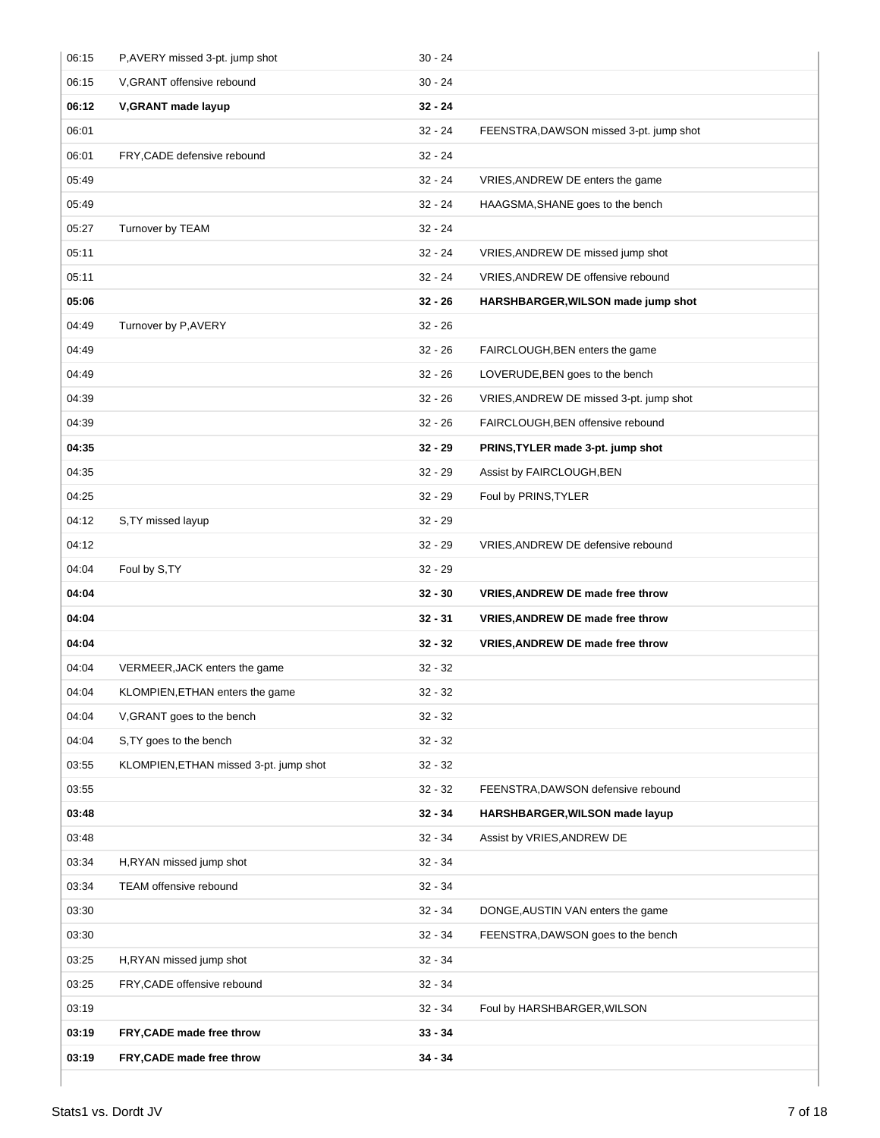| 06:15 | P,AVERY missed 3-pt. jump shot         | $30 - 24$ |                                         |
|-------|----------------------------------------|-----------|-----------------------------------------|
| 06:15 | V, GRANT offensive rebound             | $30 - 24$ |                                         |
| 06:12 | V, GRANT made layup                    | $32 - 24$ |                                         |
| 06:01 |                                        | $32 - 24$ | FEENSTRA, DAWSON missed 3-pt. jump shot |
| 06:01 | FRY, CADE defensive rebound            | $32 - 24$ |                                         |
| 05:49 |                                        | $32 - 24$ | VRIES, ANDREW DE enters the game        |
| 05:49 |                                        | $32 - 24$ | HAAGSMA, SHANE goes to the bench        |
| 05:27 | Turnover by TEAM                       | $32 - 24$ |                                         |
| 05:11 |                                        | $32 - 24$ | VRIES, ANDREW DE missed jump shot       |
| 05:11 |                                        | $32 - 24$ | VRIES, ANDREW DE offensive rebound      |
| 05:06 |                                        | $32 - 26$ | HARSHBARGER, WILSON made jump shot      |
| 04:49 | Turnover by P, AVERY                   | $32 - 26$ |                                         |
| 04:49 |                                        | $32 - 26$ | FAIRCLOUGH, BEN enters the game         |
| 04:49 |                                        | $32 - 26$ | LOVERUDE, BEN goes to the bench         |
| 04:39 |                                        | $32 - 26$ | VRIES, ANDREW DE missed 3-pt. jump shot |
| 04:39 |                                        | $32 - 26$ | FAIRCLOUGH, BEN offensive rebound       |
| 04:35 |                                        | $32 - 29$ | PRINS, TYLER made 3-pt. jump shot       |
| 04:35 |                                        | $32 - 29$ | Assist by FAIRCLOUGH, BEN               |
| 04:25 |                                        | $32 - 29$ | Foul by PRINS, TYLER                    |
| 04:12 | S, TY missed layup                     | $32 - 29$ |                                         |
| 04:12 |                                        | $32 - 29$ | VRIES, ANDREW DE defensive rebound      |
| 04:04 | Foul by S,TY                           | $32 - 29$ |                                         |
|       |                                        |           |                                         |
| 04:04 |                                        | $32 - 30$ | VRIES, ANDREW DE made free throw        |
| 04:04 |                                        | $32 - 31$ | <b>VRIES, ANDREW DE made free throw</b> |
| 04:04 |                                        | $32 - 32$ | <b>VRIES, ANDREW DE made free throw</b> |
| 04:04 | VERMEER, JACK enters the game          | $32 - 32$ |                                         |
| 04:04 | KLOMPIEN, ETHAN enters the game        | $32 - 32$ |                                         |
| 04:04 | V, GRANT goes to the bench             | $32 - 32$ |                                         |
| 04:04 | S, TY goes to the bench                | $32 - 32$ |                                         |
| 03:55 | KLOMPIEN, ETHAN missed 3-pt. jump shot | $32 - 32$ |                                         |
| 03:55 |                                        | $32 - 32$ | FEENSTRA, DAWSON defensive rebound      |
| 03:48 |                                        | $32 - 34$ | HARSHBARGER, WILSON made layup          |
| 03:48 |                                        | $32 - 34$ | Assist by VRIES, ANDREW DE              |
| 03:34 | H,RYAN missed jump shot                | $32 - 34$ |                                         |
| 03:34 | TEAM offensive rebound                 | $32 - 34$ |                                         |
| 03:30 |                                        | $32 - 34$ | DONGE, AUSTIN VAN enters the game       |
| 03:30 |                                        | $32 - 34$ | FEENSTRA, DAWSON goes to the bench      |
| 03:25 | H,RYAN missed jump shot                | $32 - 34$ |                                         |
| 03:25 | FRY, CADE offensive rebound            | $32 - 34$ |                                         |
| 03:19 |                                        | $32 - 34$ | Foul by HARSHBARGER, WILSON             |
| 03:19 | FRY, CADE made free throw              | $33 - 34$ |                                         |
| 03:19 | FRY, CADE made free throw              | $34 - 34$ |                                         |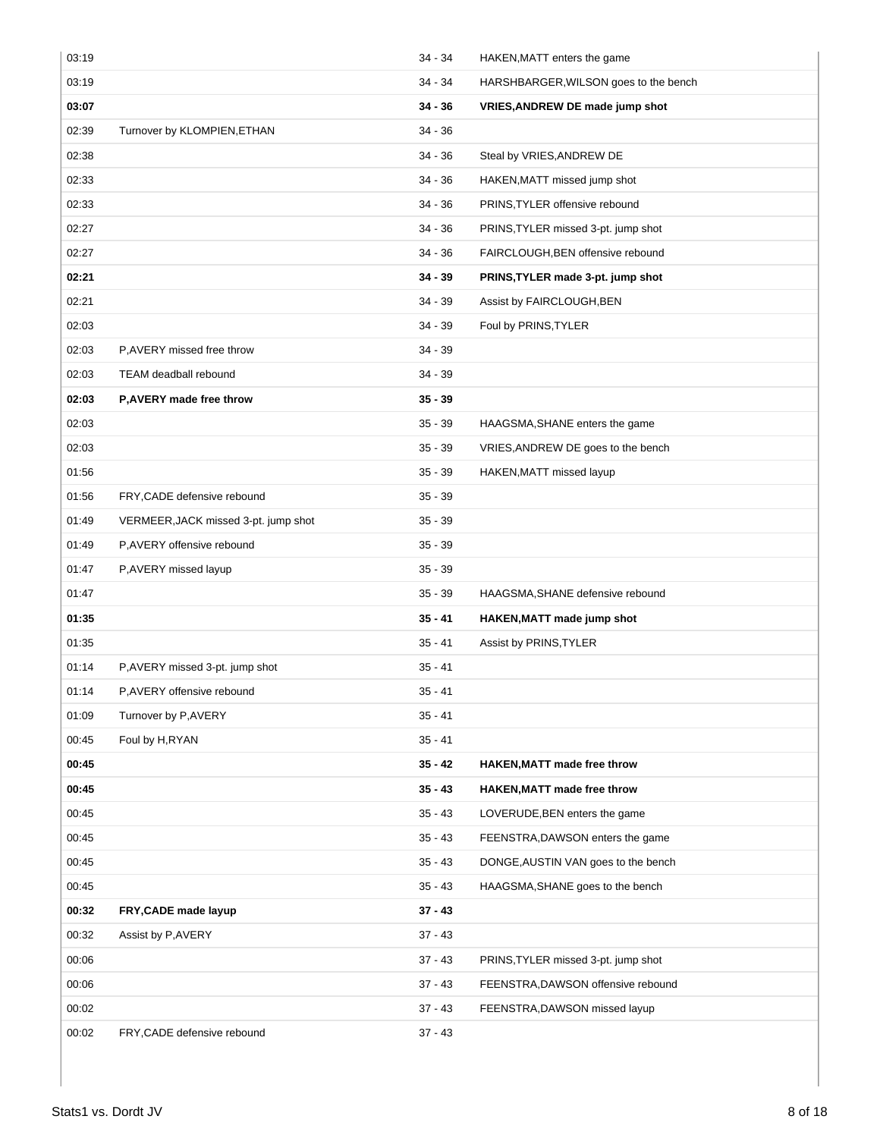| 03:19 |                                      | $34 - 34$ | HAKEN, MATT enters the game           |
|-------|--------------------------------------|-----------|---------------------------------------|
| 03:19 |                                      | $34 - 34$ | HARSHBARGER, WILSON goes to the bench |
| 03:07 |                                      | $34 - 36$ | VRIES, ANDREW DE made jump shot       |
| 02:39 | Turnover by KLOMPIEN, ETHAN          | $34 - 36$ |                                       |
| 02:38 |                                      | $34 - 36$ | Steal by VRIES, ANDREW DE             |
| 02:33 |                                      | $34 - 36$ | HAKEN, MATT missed jump shot          |
| 02:33 |                                      | $34 - 36$ | PRINS, TYLER offensive rebound        |
| 02:27 |                                      | $34 - 36$ | PRINS, TYLER missed 3-pt. jump shot   |
| 02:27 |                                      | $34 - 36$ | FAIRCLOUGH, BEN offensive rebound     |
| 02:21 |                                      | $34 - 39$ | PRINS, TYLER made 3-pt. jump shot     |
| 02:21 |                                      | $34 - 39$ | Assist by FAIRCLOUGH, BEN             |
| 02:03 |                                      | $34 - 39$ | Foul by PRINS, TYLER                  |
| 02:03 | P, AVERY missed free throw           | $34 - 39$ |                                       |
| 02:03 | TEAM deadball rebound                | $34 - 39$ |                                       |
| 02:03 | P, AVERY made free throw             | $35 - 39$ |                                       |
| 02:03 |                                      | $35 - 39$ | HAAGSMA, SHANE enters the game        |
| 02:03 |                                      | $35 - 39$ | VRIES, ANDREW DE goes to the bench    |
| 01:56 |                                      | $35 - 39$ | HAKEN, MATT missed layup              |
| 01:56 | FRY, CADE defensive rebound          | $35 - 39$ |                                       |
| 01:49 | VERMEER, JACK missed 3-pt. jump shot | $35 - 39$ |                                       |
| 01:49 | P, AVERY offensive rebound           | $35 - 39$ |                                       |
| 01:47 | P,AVERY missed layup                 | $35 - 39$ |                                       |
| 01:47 |                                      | $35 - 39$ | HAAGSMA, SHANE defensive rebound      |
| 01:35 |                                      | $35 - 41$ | HAKEN, MATT made jump shot            |
| 01:35 |                                      | $35 - 41$ | Assist by PRINS, TYLER                |
| 01:14 | P, AVERY missed 3-pt. jump shot      | $35 - 41$ |                                       |
| 01:14 | P, AVERY offensive rebound           | $35 - 41$ |                                       |
| 01:09 | Turnover by P, AVERY                 | $35 - 41$ |                                       |
| 00:45 | Foul by H, RYAN                      | $35 - 41$ |                                       |
| 00:45 |                                      | $35 - 42$ | <b>HAKEN, MATT made free throw</b>    |
| 00:45 |                                      | $35 - 43$ | <b>HAKEN, MATT made free throw</b>    |
| 00:45 |                                      | $35 - 43$ | LOVERUDE, BEN enters the game         |
| 00:45 |                                      | $35 - 43$ | FEENSTRA, DAWSON enters the game      |
| 00:45 |                                      | $35 - 43$ | DONGE, AUSTIN VAN goes to the bench   |
| 00:45 |                                      | $35 - 43$ | HAAGSMA, SHANE goes to the bench      |
| 00:32 | FRY, CADE made layup                 | $37 - 43$ |                                       |
| 00:32 | Assist by P, AVERY                   | $37 - 43$ |                                       |
| 00:06 |                                      | $37 - 43$ | PRINS, TYLER missed 3-pt. jump shot   |
| 00:06 |                                      | $37 - 43$ | FEENSTRA, DAWSON offensive rebound    |
| 00:02 |                                      | $37 - 43$ | FEENSTRA, DAWSON missed layup         |
| 00:02 | FRY, CADE defensive rebound          | $37 - 43$ |                                       |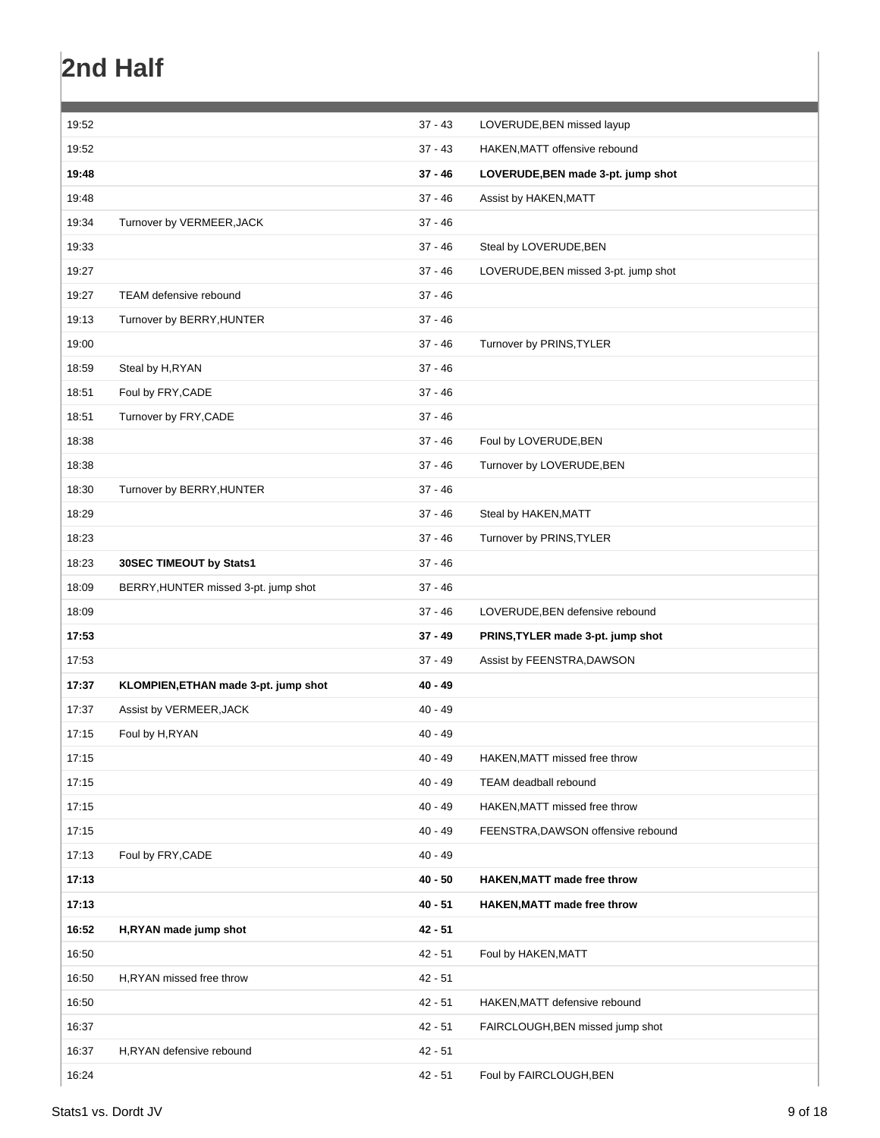# **2nd Half**

| 19:52 |                                      | $37 - 43$ | LOVERUDE, BEN missed layup           |
|-------|--------------------------------------|-----------|--------------------------------------|
| 19:52 |                                      | $37 - 43$ | HAKEN, MATT offensive rebound        |
| 19:48 |                                      | $37 - 46$ | LOVERUDE, BEN made 3-pt. jump shot   |
| 19:48 |                                      | $37 - 46$ | Assist by HAKEN, MATT                |
| 19:34 | Turnover by VERMEER, JACK            | $37 - 46$ |                                      |
| 19:33 |                                      | $37 - 46$ | Steal by LOVERUDE, BEN               |
| 19:27 |                                      | $37 - 46$ | LOVERUDE, BEN missed 3-pt. jump shot |
| 19:27 | TEAM defensive rebound               | $37 - 46$ |                                      |
| 19:13 | Turnover by BERRY, HUNTER            | $37 - 46$ |                                      |
| 19:00 |                                      | $37 - 46$ | Turnover by PRINS, TYLER             |
| 18:59 | Steal by H, RYAN                     | $37 - 46$ |                                      |
| 18:51 | Foul by FRY, CADE                    | $37 - 46$ |                                      |
| 18:51 | Turnover by FRY, CADE                | $37 - 46$ |                                      |
| 18:38 |                                      | $37 - 46$ | Foul by LOVERUDE, BEN                |
| 18:38 |                                      | $37 - 46$ | Turnover by LOVERUDE, BEN            |
| 18:30 | Turnover by BERRY, HUNTER            | $37 - 46$ |                                      |
| 18:29 |                                      | $37 - 46$ | Steal by HAKEN, MATT                 |
| 18:23 |                                      | $37 - 46$ | Turnover by PRINS, TYLER             |
| 18:23 | 30SEC TIMEOUT by Stats1              | $37 - 46$ |                                      |
| 18:09 | BERRY, HUNTER missed 3-pt. jump shot | $37 - 46$ |                                      |
| 18:09 |                                      | $37 - 46$ | LOVERUDE, BEN defensive rebound      |
| 17:53 |                                      | $37 - 49$ | PRINS, TYLER made 3-pt. jump shot    |
| 17:53 |                                      | $37 - 49$ | Assist by FEENSTRA, DAWSON           |
| 17:37 | KLOMPIEN, ETHAN made 3-pt. jump shot | $40 - 49$ |                                      |
| 17:37 | Assist by VERMEER, JACK              | $40 - 49$ |                                      |
| 17:15 | Foul by H, RYAN                      | $40 - 49$ |                                      |
| 17:15 |                                      | $40 - 49$ | HAKEN, MATT missed free throw        |
| 17:15 |                                      | $40 - 49$ | <b>TEAM</b> deadball rebound         |
| 17:15 |                                      | $40 - 49$ | HAKEN, MATT missed free throw        |
| 17:15 |                                      | $40 - 49$ | FEENSTRA, DAWSON offensive rebound   |
| 17:13 | Foul by FRY, CADE                    | $40 - 49$ |                                      |
| 17:13 |                                      | $40 - 50$ | <b>HAKEN, MATT made free throw</b>   |
| 17:13 |                                      | $40 - 51$ | <b>HAKEN, MATT made free throw</b>   |
| 16:52 | H,RYAN made jump shot                | $42 - 51$ |                                      |
| 16:50 |                                      | $42 - 51$ | Foul by HAKEN, MATT                  |
| 16:50 | H,RYAN missed free throw             | $42 - 51$ |                                      |
| 16:50 |                                      | $42 - 51$ | HAKEN, MATT defensive rebound        |
| 16:37 |                                      | $42 - 51$ | FAIRCLOUGH, BEN missed jump shot     |
| 16:37 | H,RYAN defensive rebound             | $42 - 51$ |                                      |
| 16:24 |                                      | $42 - 51$ | Foul by FAIRCLOUGH, BEN              |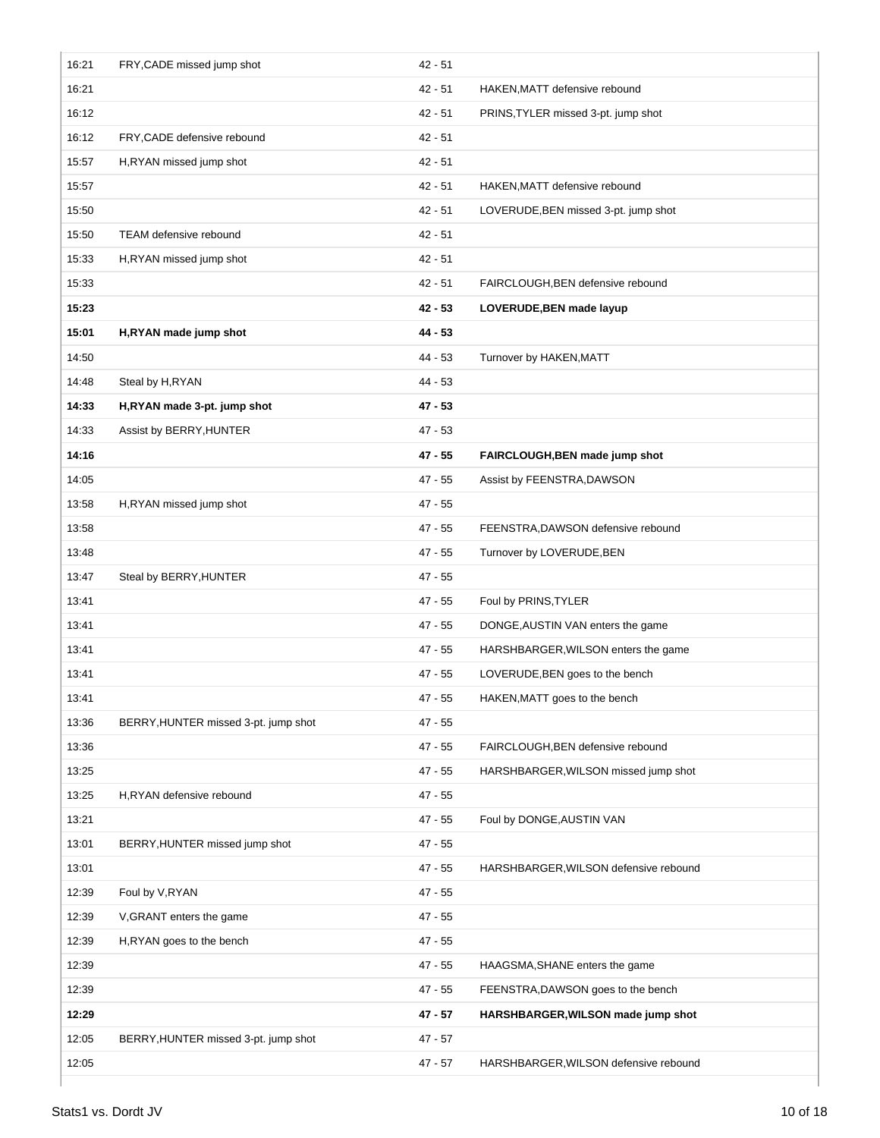| 16:21 | FRY, CADE missed jump shot           | $42 - 51$ |                                       |
|-------|--------------------------------------|-----------|---------------------------------------|
| 16:21 |                                      | $42 - 51$ | HAKEN, MATT defensive rebound         |
| 16:12 |                                      | $42 - 51$ | PRINS, TYLER missed 3-pt. jump shot   |
| 16:12 | FRY, CADE defensive rebound          | $42 - 51$ |                                       |
| 15:57 | H, RYAN missed jump shot             | $42 - 51$ |                                       |
| 15:57 |                                      | $42 - 51$ | HAKEN, MATT defensive rebound         |
| 15:50 |                                      | $42 - 51$ | LOVERUDE, BEN missed 3-pt. jump shot  |
| 15:50 | TEAM defensive rebound               | $42 - 51$ |                                       |
| 15:33 | H,RYAN missed jump shot              | $42 - 51$ |                                       |
| 15:33 |                                      | $42 - 51$ | FAIRCLOUGH, BEN defensive rebound     |
| 15:23 |                                      | $42 - 53$ | LOVERUDE, BEN made layup              |
| 15:01 | H,RYAN made jump shot                | $44 - 53$ |                                       |
| 14:50 |                                      | 44 - 53   | Turnover by HAKEN, MATT               |
| 14:48 | Steal by H, RYAN                     | $44 - 53$ |                                       |
| 14:33 | H,RYAN made 3-pt. jump shot          | $47 - 53$ |                                       |
| 14:33 | Assist by BERRY, HUNTER              | $47 - 53$ |                                       |
| 14:16 |                                      | 47 - 55   | FAIRCLOUGH, BEN made jump shot        |
| 14:05 |                                      | $47 - 55$ | Assist by FEENSTRA, DAWSON            |
| 13:58 | H, RYAN missed jump shot             | $47 - 55$ |                                       |
| 13:58 |                                      | 47 - 55   | FEENSTRA, DAWSON defensive rebound    |
| 13:48 |                                      | $47 - 55$ | Turnover by LOVERUDE, BEN             |
| 13:47 | Steal by BERRY, HUNTER               | $47 - 55$ |                                       |
| 13:41 |                                      | 47 - 55   | Foul by PRINS, TYLER                  |
| 13:41 |                                      | 47 - 55   | DONGE, AUSTIN VAN enters the game     |
| 13:41 |                                      | $47 - 55$ | HARSHBARGER, WILSON enters the game   |
| 13:41 |                                      | 47 - 55   | LOVERUDE, BEN goes to the bench       |
| 13:41 |                                      | $47 - 55$ | HAKEN, MATT goes to the bench         |
| 13:36 | BERRY, HUNTER missed 3-pt. jump shot | 47 - 55   |                                       |
| 13:36 |                                      | $47 - 55$ | FAIRCLOUGH, BEN defensive rebound     |
| 13:25 |                                      | 47 - 55   | HARSHBARGER, WILSON missed jump shot  |
| 13:25 | H,RYAN defensive rebound             | 47 - 55   |                                       |
| 13:21 |                                      | $47 - 55$ | Foul by DONGE, AUSTIN VAN             |
| 13:01 | BERRY, HUNTER missed jump shot       | $47 - 55$ |                                       |
| 13:01 |                                      | $47 - 55$ | HARSHBARGER, WILSON defensive rebound |
| 12:39 | Foul by V, RYAN                      | $47 - 55$ |                                       |
| 12:39 | V, GRANT enters the game             | $47 - 55$ |                                       |
| 12:39 | H, RYAN goes to the bench            | $47 - 55$ |                                       |
| 12:39 |                                      | $47 - 55$ | HAAGSMA, SHANE enters the game        |
| 12:39 |                                      | $47 - 55$ | FEENSTRA, DAWSON goes to the bench    |
| 12:29 |                                      | 47 - 57   | HARSHBARGER, WILSON made jump shot    |
| 12:05 | BERRY, HUNTER missed 3-pt. jump shot | $47 - 57$ |                                       |
| 12:05 |                                      | $47 - 57$ | HARSHBARGER, WILSON defensive rebound |
|       |                                      |           |                                       |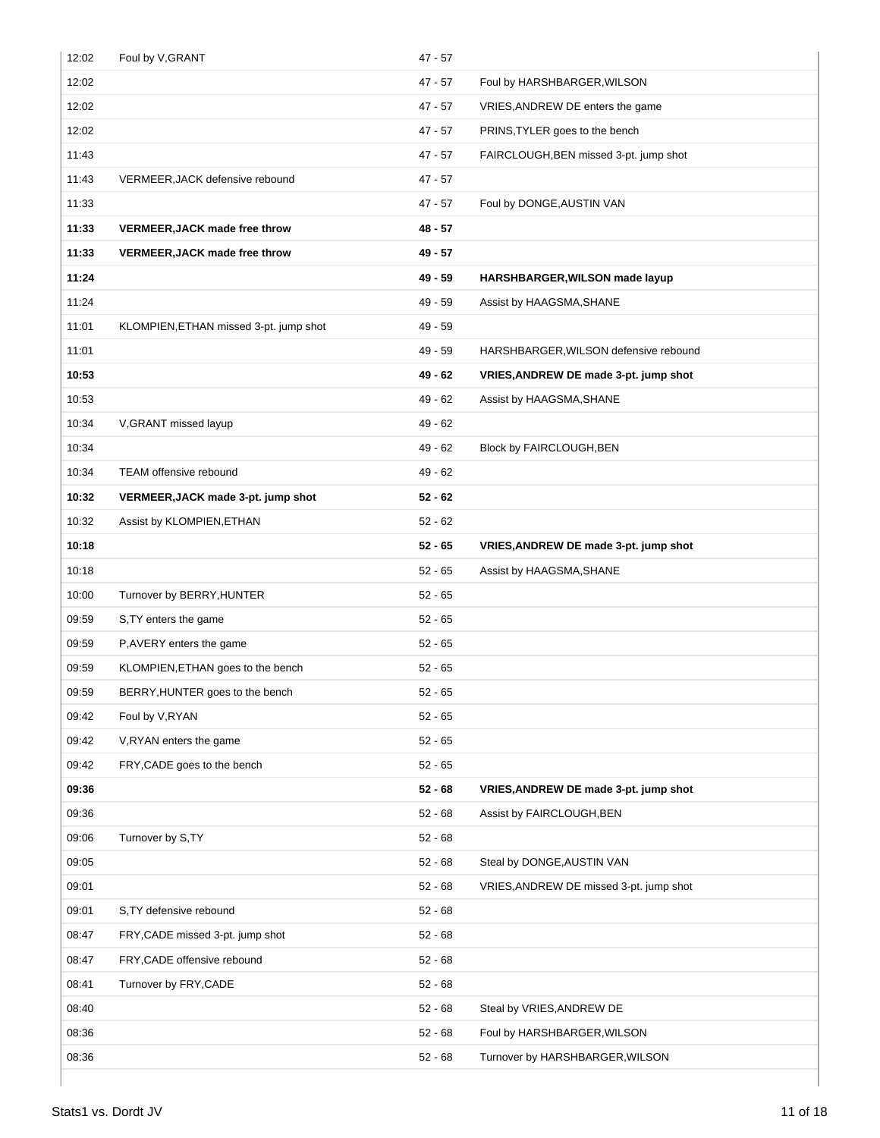| 12:02 | Foul by V, GRANT                       | $47 - 57$ |                                         |
|-------|----------------------------------------|-----------|-----------------------------------------|
| 12:02 |                                        | $47 - 57$ | Foul by HARSHBARGER, WILSON             |
| 12:02 |                                        | $47 - 57$ | VRIES, ANDREW DE enters the game        |
| 12:02 |                                        | $47 - 57$ | PRINS, TYLER goes to the bench          |
| 11:43 |                                        | $47 - 57$ | FAIRCLOUGH, BEN missed 3-pt. jump shot  |
| 11:43 | VERMEER, JACK defensive rebound        | $47 - 57$ |                                         |
| 11:33 |                                        | $47 - 57$ | Foul by DONGE, AUSTIN VAN               |
| 11:33 | VERMEER, JACK made free throw          | 48 - 57   |                                         |
| 11:33 | <b>VERMEER, JACK made free throw</b>   | 49 - 57   |                                         |
| 11:24 |                                        | $49 - 59$ | HARSHBARGER, WILSON made layup          |
| 11:24 |                                        | $49 - 59$ | Assist by HAAGSMA, SHANE                |
| 11:01 | KLOMPIEN, ETHAN missed 3-pt. jump shot | $49 - 59$ |                                         |
| 11:01 |                                        | $49 - 59$ | HARSHBARGER, WILSON defensive rebound   |
| 10:53 |                                        | $49 - 62$ | VRIES, ANDREW DE made 3-pt. jump shot   |
| 10:53 |                                        | $49 - 62$ | Assist by HAAGSMA, SHANE                |
| 10:34 | V, GRANT missed layup                  | $49 - 62$ |                                         |
| 10:34 |                                        | $49 - 62$ | Block by FAIRCLOUGH, BEN                |
| 10:34 | TEAM offensive rebound                 | $49 - 62$ |                                         |
| 10:32 | VERMEER, JACK made 3-pt. jump shot     | $52 - 62$ |                                         |
| 10:32 | Assist by KLOMPIEN, ETHAN              | $52 - 62$ |                                         |
| 10:18 |                                        | $52 - 65$ | VRIES, ANDREW DE made 3-pt. jump shot   |
| 10:18 |                                        | $52 - 65$ | Assist by HAAGSMA, SHANE                |
| 10:00 | Turnover by BERRY, HUNTER              | $52 - 65$ |                                         |
| 09:59 | S, TY enters the game                  | $52 - 65$ |                                         |
| 09:59 | P, AVERY enters the game               | $52 - 65$ |                                         |
| 09:59 | KLOMPIEN, ETHAN goes to the bench      | $52 - 65$ |                                         |
| 09:59 | BERRY, HUNTER goes to the bench        | $52 - 65$ |                                         |
| 09:42 | Foul by V, RYAN                        | $52 - 65$ |                                         |
| 09:42 | V, RYAN enters the game                | $52 - 65$ |                                         |
| 09:42 | FRY, CADE goes to the bench            | $52 - 65$ |                                         |
| 09:36 |                                        | $52 - 68$ | VRIES, ANDREW DE made 3-pt. jump shot   |
| 09:36 |                                        | $52 - 68$ | Assist by FAIRCLOUGH, BEN               |
| 09:06 | Turnover by S,TY                       | $52 - 68$ |                                         |
| 09:05 |                                        | $52 - 68$ | Steal by DONGE, AUSTIN VAN              |
| 09:01 |                                        | $52 - 68$ | VRIES, ANDREW DE missed 3-pt. jump shot |
| 09:01 | S, TY defensive rebound                | $52 - 68$ |                                         |
| 08:47 | FRY, CADE missed 3-pt. jump shot       | $52 - 68$ |                                         |
| 08:47 | FRY, CADE offensive rebound            | $52 - 68$ |                                         |
| 08:41 | Turnover by FRY, CADE                  | $52 - 68$ |                                         |
| 08:40 |                                        | $52 - 68$ | Steal by VRIES, ANDREW DE               |
| 08:36 |                                        | $52 - 68$ | Foul by HARSHBARGER, WILSON             |
| 08:36 |                                        |           |                                         |
|       |                                        | $52 - 68$ | Turnover by HARSHBARGER, WILSON         |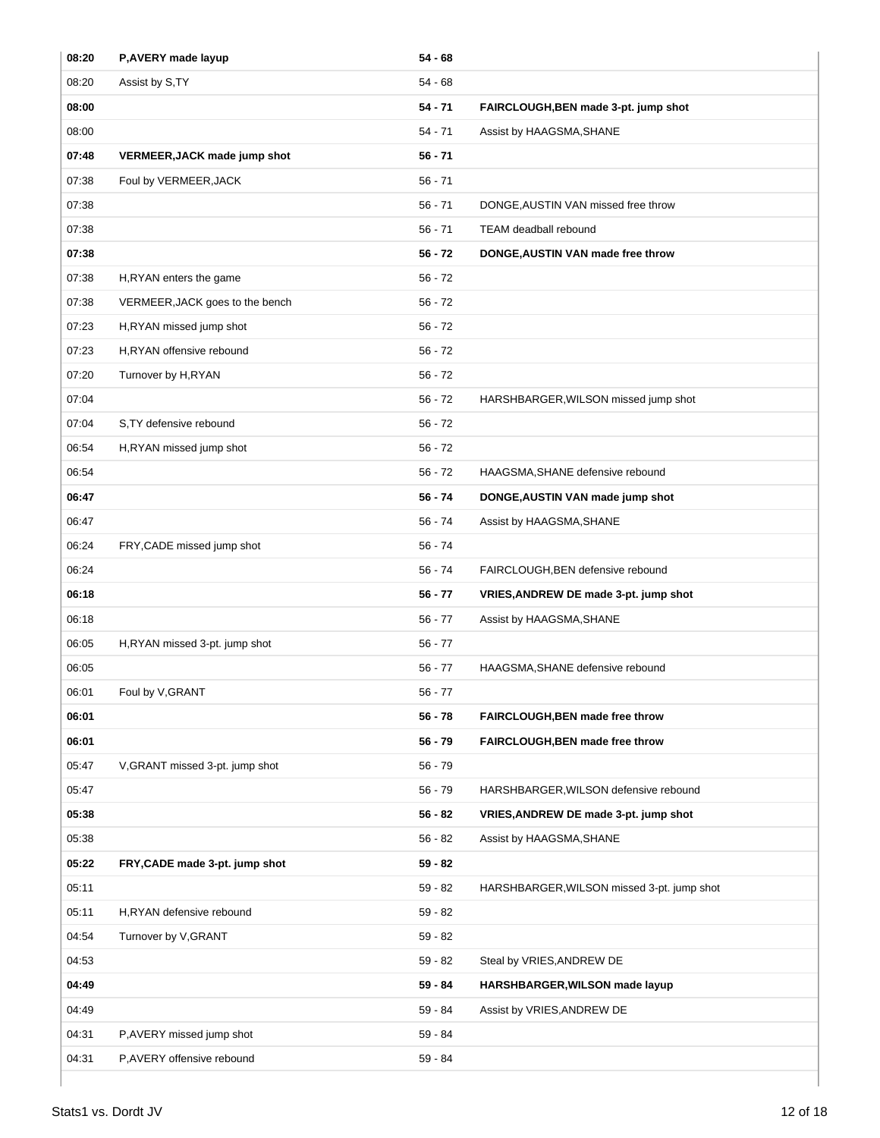| 08:20 | P, AVERY made layup             | $54 - 68$ |                                            |
|-------|---------------------------------|-----------|--------------------------------------------|
| 08:20 | Assist by S,TY                  | $54 - 68$ |                                            |
| 08:00 |                                 | $54 - 71$ | FAIRCLOUGH, BEN made 3-pt. jump shot       |
| 08:00 |                                 | $54 - 71$ | Assist by HAAGSMA, SHANE                   |
| 07:48 | VERMEER, JACK made jump shot    | $56 - 71$ |                                            |
| 07:38 | Foul by VERMEER, JACK           | $56 - 71$ |                                            |
| 07:38 |                                 | $56 - 71$ | DONGE, AUSTIN VAN missed free throw        |
| 07:38 |                                 | $56 - 71$ | TEAM deadball rebound                      |
| 07:38 |                                 | $56 - 72$ | DONGE, AUSTIN VAN made free throw          |
| 07:38 | H, RYAN enters the game         | $56 - 72$ |                                            |
| 07:38 | VERMEER, JACK goes to the bench | $56 - 72$ |                                            |
| 07:23 | H,RYAN missed jump shot         | $56 - 72$ |                                            |
| 07:23 | H,RYAN offensive rebound        | $56 - 72$ |                                            |
| 07:20 | Turnover by H,RYAN              | $56 - 72$ |                                            |
| 07:04 |                                 | $56 - 72$ | HARSHBARGER, WILSON missed jump shot       |
| 07:04 | S, TY defensive rebound         | $56 - 72$ |                                            |
| 06:54 | H,RYAN missed jump shot         | $56 - 72$ |                                            |
| 06:54 |                                 | $56 - 72$ | HAAGSMA, SHANE defensive rebound           |
| 06:47 |                                 | $56 - 74$ | DONGE, AUSTIN VAN made jump shot           |
| 06:47 |                                 | $56 - 74$ | Assist by HAAGSMA, SHANE                   |
| 06:24 | FRY, CADE missed jump shot      | $56 - 74$ |                                            |
| 06:24 |                                 | $56 - 74$ | FAIRCLOUGH, BEN defensive rebound          |
| 06:18 |                                 | $56 - 77$ | VRIES, ANDREW DE made 3-pt. jump shot      |
| 06:18 |                                 | $56 - 77$ | Assist by HAAGSMA, SHANE                   |
| 06:05 | H,RYAN missed 3-pt. jump shot   | $56 - 77$ |                                            |
| 06:05 |                                 | $56 - 77$ | HAAGSMA, SHANE defensive rebound           |
| 06:01 | Foul by V, GRANT                | 56 - 77   |                                            |
| 06:01 |                                 | $56 - 78$ | FAIRCLOUGH, BEN made free throw            |
| 06:01 |                                 | $56 - 79$ | FAIRCLOUGH, BEN made free throw            |
| 05:47 | V, GRANT missed 3-pt. jump shot | $56 - 79$ |                                            |
| 05:47 |                                 | $56 - 79$ | HARSHBARGER, WILSON defensive rebound      |
| 05:38 |                                 | $56 - 82$ | VRIES, ANDREW DE made 3-pt. jump shot      |
| 05:38 |                                 | $56 - 82$ | Assist by HAAGSMA, SHANE                   |
| 05:22 | FRY, CADE made 3-pt. jump shot  | $59 - 82$ |                                            |
| 05:11 |                                 | $59 - 82$ | HARSHBARGER, WILSON missed 3-pt. jump shot |
| 05:11 | H,RYAN defensive rebound        | $59 - 82$ |                                            |
| 04:54 | Turnover by V, GRANT            | $59 - 82$ |                                            |
| 04:53 |                                 | $59 - 82$ | Steal by VRIES, ANDREW DE                  |
| 04:49 |                                 | $59 - 84$ | HARSHBARGER, WILSON made layup             |
| 04:49 |                                 | 59 - 84   | Assist by VRIES, ANDREW DE                 |
| 04:31 | P,AVERY missed jump shot        | $59 - 84$ |                                            |
| 04:31 | P,AVERY offensive rebound       | 59 - 84   |                                            |
|       |                                 |           |                                            |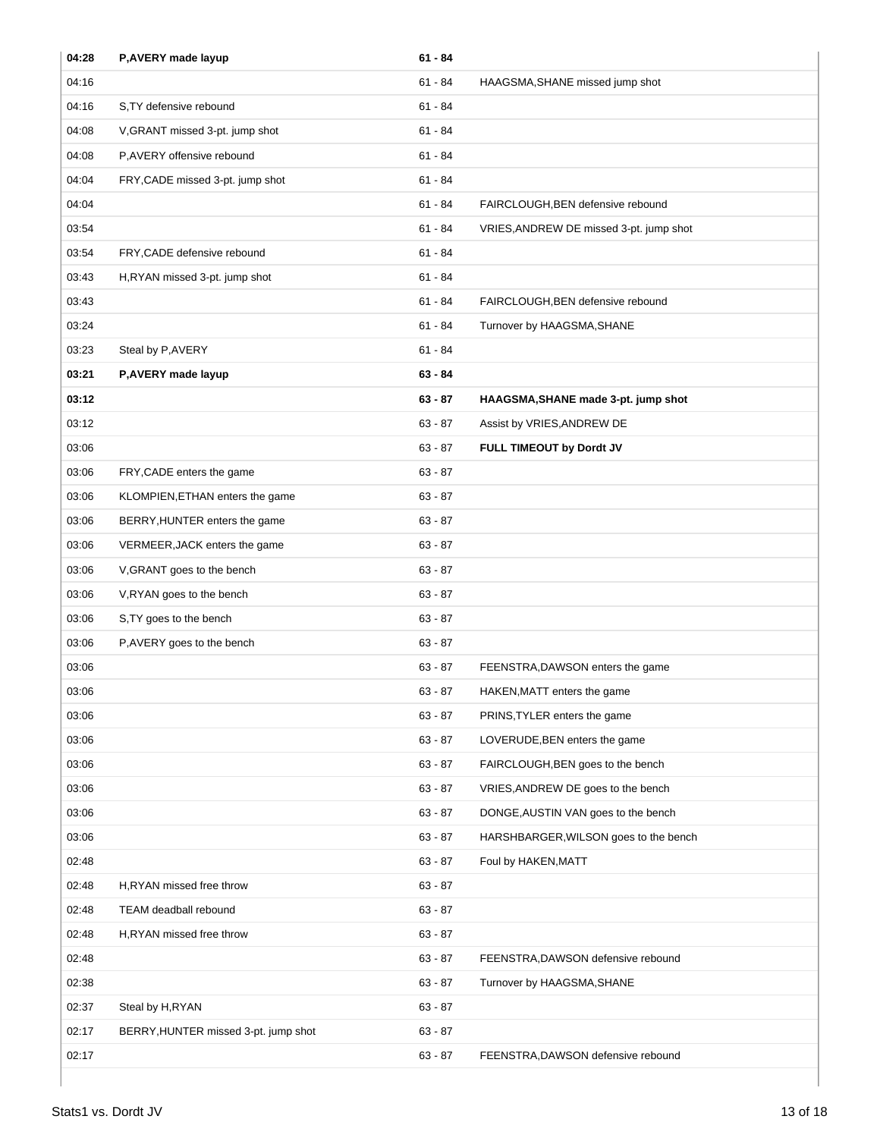| 04:28 | P, AVERY made layup                  | $61 - 84$ |                                         |
|-------|--------------------------------------|-----------|-----------------------------------------|
| 04:16 |                                      | $61 - 84$ | HAAGSMA, SHANE missed jump shot         |
| 04:16 | S, TY defensive rebound              | $61 - 84$ |                                         |
| 04:08 | V, GRANT missed 3-pt. jump shot      | $61 - 84$ |                                         |
| 04:08 | P,AVERY offensive rebound            | $61 - 84$ |                                         |
| 04:04 | FRY, CADE missed 3-pt. jump shot     | $61 - 84$ |                                         |
| 04:04 |                                      | $61 - 84$ | FAIRCLOUGH, BEN defensive rebound       |
| 03:54 |                                      | $61 - 84$ | VRIES, ANDREW DE missed 3-pt. jump shot |
| 03:54 | FRY, CADE defensive rebound          | $61 - 84$ |                                         |
| 03:43 | H,RYAN missed 3-pt. jump shot        | $61 - 84$ |                                         |
| 03:43 |                                      | $61 - 84$ | FAIRCLOUGH, BEN defensive rebound       |
| 03:24 |                                      | $61 - 84$ | Turnover by HAAGSMA, SHANE              |
| 03:23 | Steal by P, AVERY                    | $61 - 84$ |                                         |
| 03:21 | P, AVERY made layup                  | $63 - 84$ |                                         |
| 03:12 |                                      | $63 - 87$ | HAAGSMA, SHANE made 3-pt. jump shot     |
| 03:12 |                                      | $63 - 87$ | Assist by VRIES, ANDREW DE              |
| 03:06 |                                      | $63 - 87$ | FULL TIMEOUT by Dordt JV                |
| 03:06 | FRY, CADE enters the game            | $63 - 87$ |                                         |
| 03:06 | KLOMPIEN, ETHAN enters the game      | $63 - 87$ |                                         |
| 03:06 | BERRY, HUNTER enters the game        | $63 - 87$ |                                         |
| 03:06 | VERMEER, JACK enters the game        | $63 - 87$ |                                         |
| 03:06 | V, GRANT goes to the bench           | $63 - 87$ |                                         |
| 03:06 | V, RYAN goes to the bench            | $63 - 87$ |                                         |
| 03:06 | S, TY goes to the bench              | $63 - 87$ |                                         |
| 03:06 | P, AVERY goes to the bench           | $63 - 87$ |                                         |
| 03:06 |                                      | $63 - 87$ | FEENSTRA, DAWSON enters the game        |
| 03:06 |                                      | 63 - 87   | HAKEN, MATT enters the game             |
| 03:06 |                                      | $63 - 87$ | PRINS, TYLER enters the game            |
| 03:06 |                                      | $63 - 87$ | LOVERUDE, BEN enters the game           |
| 03:06 |                                      | $63 - 87$ | FAIRCLOUGH, BEN goes to the bench       |
| 03:06 |                                      | $63 - 87$ | VRIES, ANDREW DE goes to the bench      |
| 03:06 |                                      | $63 - 87$ | DONGE, AUSTIN VAN goes to the bench     |
| 03:06 |                                      | $63 - 87$ | HARSHBARGER, WILSON goes to the bench   |
| 02:48 |                                      | $63 - 87$ | Foul by HAKEN, MATT                     |
| 02:48 | H,RYAN missed free throw             | $63 - 87$ |                                         |
| 02:48 | TEAM deadball rebound                | $63 - 87$ |                                         |
| 02:48 | H, RYAN missed free throw            | $63 - 87$ |                                         |
| 02:48 |                                      | $63 - 87$ | FEENSTRA, DAWSON defensive rebound      |
| 02:38 |                                      | $63 - 87$ | Turnover by HAAGSMA, SHANE              |
| 02:37 | Steal by H, RYAN                     | $63 - 87$ |                                         |
| 02:17 | BERRY, HUNTER missed 3-pt. jump shot | $63 - 87$ |                                         |
| 02:17 |                                      | $63 - 87$ | FEENSTRA, DAWSON defensive rebound      |
|       |                                      |           |                                         |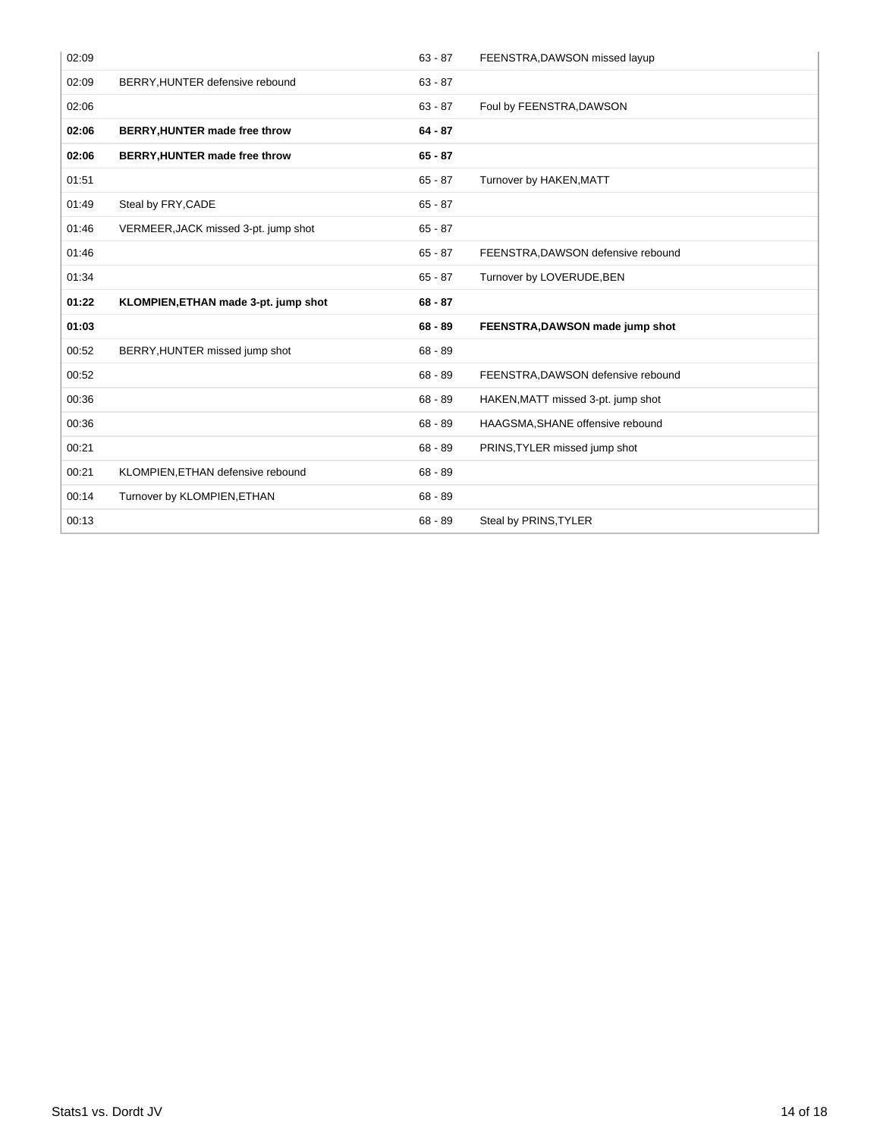| 02:09 |                                      | $63 - 87$ | FEENSTRA, DAWSON missed layup      |
|-------|--------------------------------------|-----------|------------------------------------|
| 02:09 | BERRY, HUNTER defensive rebound      | $63 - 87$ |                                    |
| 02:06 |                                      | $63 - 87$ | Foul by FEENSTRA, DAWSON           |
| 02:06 | BERRY, HUNTER made free throw        | $64 - 87$ |                                    |
| 02:06 | BERRY, HUNTER made free throw        | $65 - 87$ |                                    |
| 01:51 |                                      | $65 - 87$ | Turnover by HAKEN, MATT            |
| 01:49 | Steal by FRY, CADE                   | $65 - 87$ |                                    |
| 01:46 | VERMEER, JACK missed 3-pt. jump shot | $65 - 87$ |                                    |
| 01:46 |                                      | $65 - 87$ | FEENSTRA, DAWSON defensive rebound |
| 01:34 |                                      | $65 - 87$ | Turnover by LOVERUDE, BEN          |
|       |                                      |           |                                    |
| 01:22 | KLOMPIEN, ETHAN made 3-pt. jump shot | $68 - 87$ |                                    |
| 01:03 |                                      | $68 - 89$ | FEENSTRA, DAWSON made jump shot    |
| 00:52 | BERRY, HUNTER missed jump shot       | $68 - 89$ |                                    |
| 00:52 |                                      | $68 - 89$ | FEENSTRA, DAWSON defensive rebound |
| 00:36 |                                      | $68 - 89$ | HAKEN, MATT missed 3-pt. jump shot |
| 00:36 |                                      | $68 - 89$ | HAAGSMA, SHANE offensive rebound   |
| 00:21 |                                      | $68 - 89$ | PRINS, TYLER missed jump shot      |
| 00:21 | KLOMPIEN, ETHAN defensive rebound    | $68 - 89$ |                                    |
| 00:14 | Turnover by KLOMPIEN, ETHAN          | $68 - 89$ |                                    |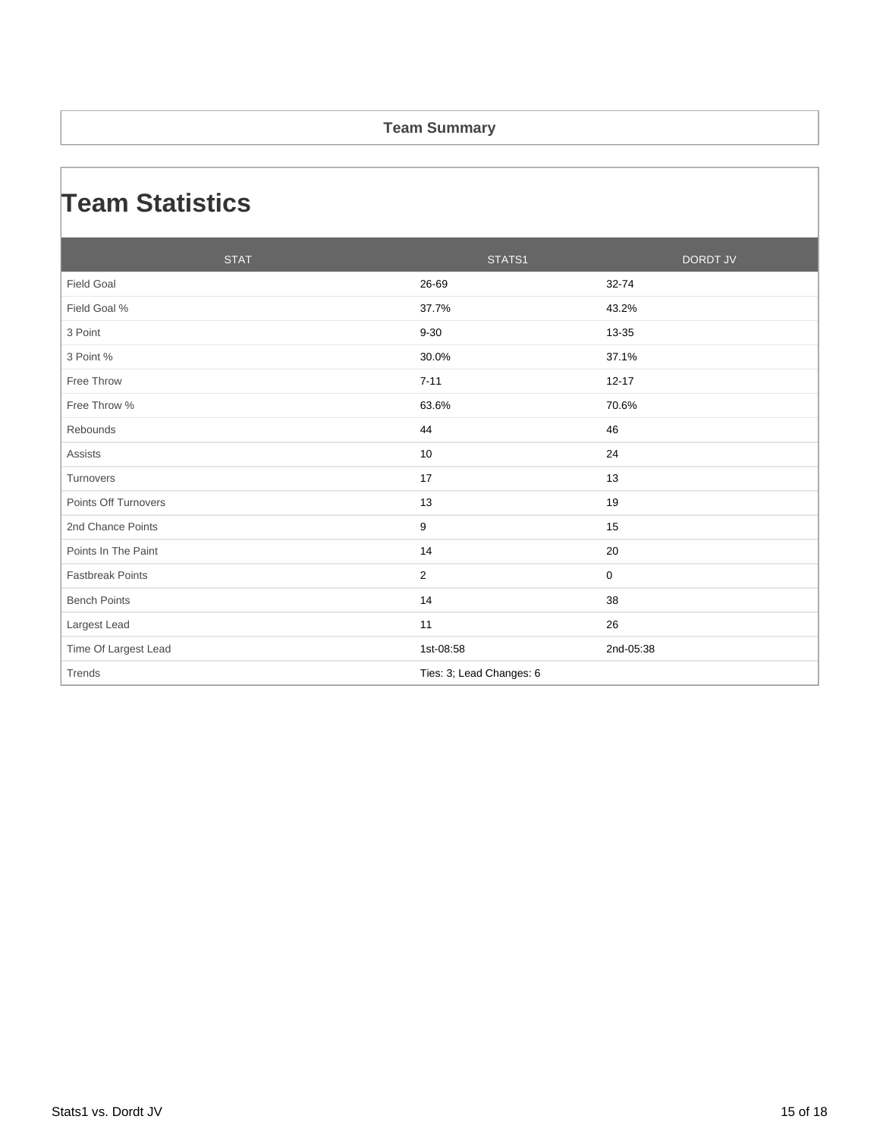#### **Team Summary**

### **Team Statistics**

| <b>STAT</b>             | STATS1                   | <b>DORDT JV</b> |
|-------------------------|--------------------------|-----------------|
| <b>Field Goal</b>       | 26-69                    | 32-74           |
| Field Goal %            | 37.7%                    | 43.2%           |
| 3 Point                 | $9 - 30$                 | 13-35           |
| 3 Point %               | 30.0%                    | 37.1%           |
| Free Throw              | $7 - 11$                 | $12 - 17$       |
| Free Throw %            | 63.6%                    | 70.6%           |
| Rebounds                | 44                       | 46              |
| Assists                 | 10                       | 24              |
| Turnovers               | 17                       | 13              |
| Points Off Turnovers    | 13                       | 19              |
| 2nd Chance Points       | 9                        | 15              |
| Points In The Paint     | 14                       | 20              |
| <b>Fastbreak Points</b> | $\overline{2}$           | 0               |
| <b>Bench Points</b>     | 14                       | 38              |
| Largest Lead            | 11                       | 26              |
| Time Of Largest Lead    | 1st-08:58                | 2nd-05:38       |
| Trends                  | Ties: 3; Lead Changes: 6 |                 |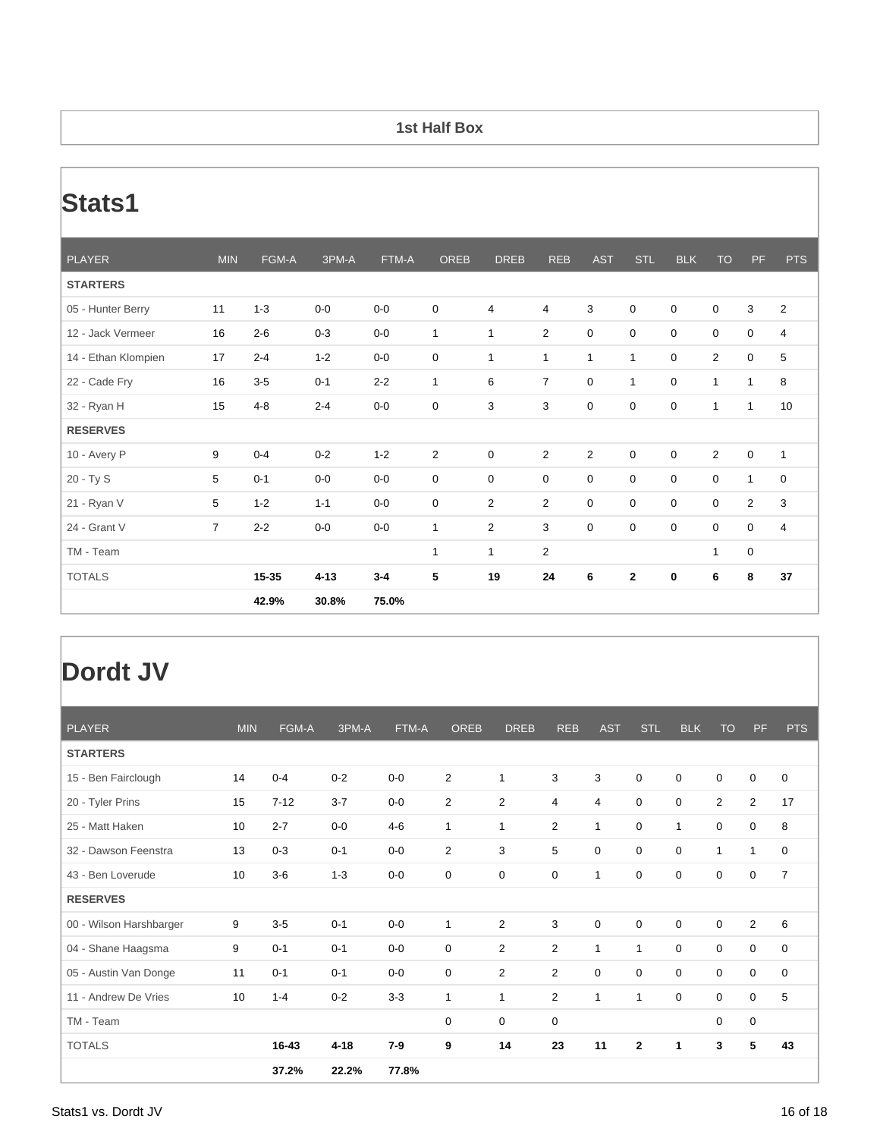#### **1st Half Box**

## **Stats1**

| <b>PLAYER</b>       | <b>MIN</b> | FGM-A   | 3PM-A    | FTM-A   | <b>OREB</b>    | <b>DREB</b>    | <b>REB</b>     | <b>AST</b>     | <b>STL</b>   | <b>BLK</b>  | <b>TO</b>    | PF               | <b>PTS</b>     |
|---------------------|------------|---------|----------|---------|----------------|----------------|----------------|----------------|--------------|-------------|--------------|------------------|----------------|
| <b>STARTERS</b>     |            |         |          |         |                |                |                |                |              |             |              |                  |                |
| 05 - Hunter Berry   | 11         | $1 - 3$ | $0-0$    | $0-0$   | $\mathbf 0$    | 4              | 4              | 3              | $\mathbf 0$  | $\mathbf 0$ | $\mathbf 0$  | 3                | $\overline{2}$ |
| 12 - Jack Vermeer   | 16         | $2 - 6$ | $0 - 3$  | $0-0$   | $\mathbf{1}$   | $\mathbf{1}$   | $\overline{2}$ | 0              | 0            | 0           | $\mathbf 0$  | $\mathbf 0$      | 4              |
| 14 - Ethan Klompien | 17         | $2 - 4$ | $1 - 2$  | $0-0$   | 0              | $\mathbf{1}$   | $\mathbf{1}$   | $\mathbf{1}$   | $\mathbf{1}$ | 0           | 2            | 0                | 5              |
| 22 - Cade Fry       | 16         | $3-5$   | $0 - 1$  | $2 - 2$ | $\mathbf{1}$   | 6              | $\overline{7}$ | 0              | $\mathbf{1}$ | $\mathbf 0$ | $\mathbf{1}$ | $\mathbf{1}$     | 8              |
| 32 - Ryan H         | 15         | $4 - 8$ | $2 - 4$  | $0-0$   | 0              | 3              | 3              | 0              | 0            | 0           | 1            | $\mathbf{1}$     | 10             |
| <b>RESERVES</b>     |            |         |          |         |                |                |                |                |              |             |              |                  |                |
| 10 - Avery P        | 9          | $0 - 4$ | $0 - 2$  | $1 - 2$ | $\overline{2}$ | 0              | $\overline{2}$ | $\overline{2}$ | $\mathbf 0$  | $\mathbf 0$ | 2            | $\boldsymbol{0}$ | $\mathbf{1}$   |
| 20 - Ty S           | 5          | $0 - 1$ | $0-0$    | $0-0$   | 0              | 0              | $\mathbf 0$    | 0              | 0            | 0           | $\mathbf 0$  | $\mathbf{1}$     | 0              |
| 21 - Ryan V         | 5          | $1 - 2$ | $1 - 1$  | $0-0$   | 0              | $\overline{2}$ | $\overline{2}$ | 0              | 0            | 0           | $\mathbf 0$  | 2                | 3              |
| 24 - Grant V        | 7          | $2 - 2$ | $0-0$    | $0-0$   | $\mathbf{1}$   | $\overline{2}$ | 3              | 0              | 0            | 0           | $\mathbf 0$  | 0                | 4              |
| TM - Team           |            |         |          |         | $\mathbf{1}$   | $\mathbf{1}$   | $\overline{2}$ |                |              |             | 1            | $\mathbf 0$      |                |
| <b>TOTALS</b>       |            | 15-35   | $4 - 13$ | $3 - 4$ | 5              | 19             | 24             | 6              | $\mathbf{2}$ | 0           | 6            | 8                | 37             |
|                     |            | 42.9%   | 30.8%    | 75.0%   |                |                |                |                |              |             |              |                  |                |

### **Dordt JV**

| <b>PLAYER</b>           | <b>MIN</b> | FGM-A    | 3PM-A    | FTM-A   | <b>OREB</b>    | <b>DREB</b>    | <b>REB</b>     | <b>AST</b>  | <b>STL</b>   | <b>BLK</b>  | <b>TO</b>   | <b>PF</b>      | <b>PTS</b>     |
|-------------------------|------------|----------|----------|---------|----------------|----------------|----------------|-------------|--------------|-------------|-------------|----------------|----------------|
| <b>STARTERS</b>         |            |          |          |         |                |                |                |             |              |             |             |                |                |
| 15 - Ben Fairclough     | 14         | $0 - 4$  | $0 - 2$  | $0-0$   | $\overline{2}$ | $\mathbf{1}$   | 3              | 3           | $\mathbf 0$  | $\mathbf 0$ | $\mathbf 0$ | 0              | $\mathbf 0$    |
| 20 - Tyler Prins        | 15         | $7 - 12$ | $3 - 7$  | $0-0$   | $\overline{2}$ | $\overline{2}$ | 4              | 4           | 0            | $\mathbf 0$ | 2           | $\overline{2}$ | 17             |
| 25 - Matt Haken         | 10         | $2 - 7$  | $0-0$    | $4 - 6$ | $\mathbf{1}$   | $\mathbf{1}$   | $\overline{2}$ | 1           | $\Omega$     | 1           | $\mathbf 0$ | 0              | 8              |
| 32 - Dawson Feenstra    | 13         | $0 - 3$  | $0 - 1$  | $0-0$   | $\overline{2}$ | 3              | 5              | $\mathbf 0$ | 0            | $\mathbf 0$ | 1           | $\mathbf{1}$   | 0              |
| 43 - Ben Loverude       | 10         | $3-6$    | $1 - 3$  | $0-0$   | 0              | $\mathbf 0$    | $\mathbf 0$    | 1           | $\mathbf 0$  | $\mathbf 0$ | $\mathbf 0$ | $\mathbf 0$    | $\overline{7}$ |
| <b>RESERVES</b>         |            |          |          |         |                |                |                |             |              |             |             |                |                |
| 00 - Wilson Harshbarger | 9          | $3-5$    | $0 - 1$  | $0-0$   | $\mathbf{1}$   | 2              | 3              | $\mathbf 0$ | $\Omega$     | $\mathbf 0$ | $\mathbf 0$ | $\overline{2}$ | 6              |
| 04 - Shane Haagsma      | 9          | $0 - 1$  | $0 - 1$  | $0-0$   | 0              | $\overline{2}$ | $\overline{2}$ | 1           | 1            | $\mathbf 0$ | $\mathbf 0$ | 0              | $\mathbf 0$    |
| 05 - Austin Van Donge   | 11         | $0 - 1$  | $0 - 1$  | $0-0$   | 0              | 2              | $\overline{2}$ | $\mathbf 0$ | 0            | $\mathbf 0$ | $\mathbf 0$ | 0              | 0              |
| 11 - Andrew De Vries    | 10         | $1 - 4$  | $0 - 2$  | $3-3$   | $\mathbf{1}$   | $\mathbf{1}$   | $\overline{2}$ | 1           | 1            | $\mathbf 0$ | $\mathbf 0$ | 0              | 5              |
| TM - Team               |            |          |          |         | 0              | $\mathbf 0$    | 0              |             |              |             | 0           | 0              |                |
| <b>TOTALS</b>           |            | 16-43    | $4 - 18$ | $7-9$   | 9              | 14             | 23             | 11          | $\mathbf{2}$ | 1           | 3           | 5              | 43             |
|                         |            | 37.2%    | 22.2%    | 77.8%   |                |                |                |             |              |             |             |                |                |